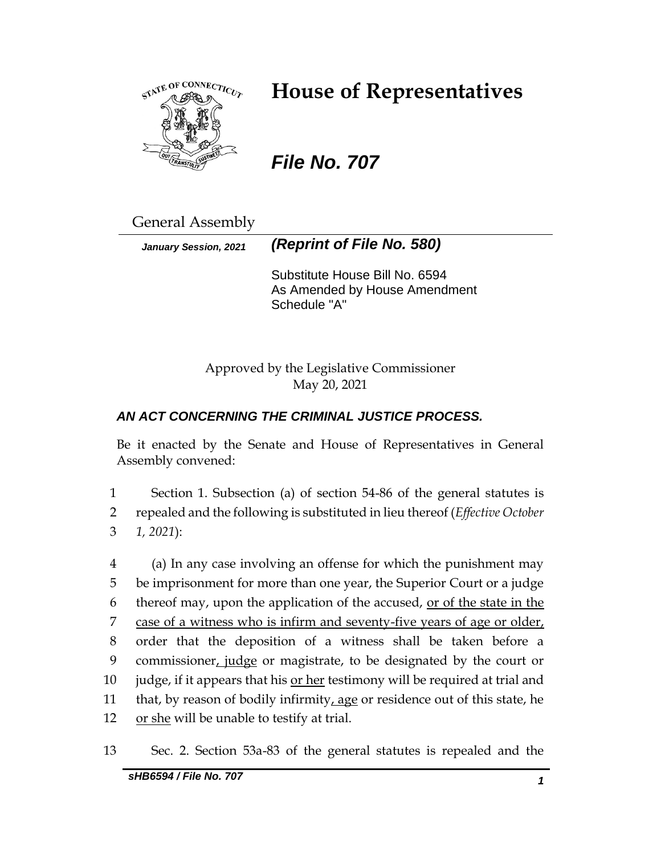

# **House of Representatives**

# *File No. 707*

General Assembly

*January Session, 2021 (Reprint of File No. 580)*

Substitute House Bill No. 6594 As Amended by House Amendment Schedule "A"

Approved by the Legislative Commissioner May 20, 2021

# *AN ACT CONCERNING THE CRIMINAL JUSTICE PROCESS.*

Be it enacted by the Senate and House of Representatives in General Assembly convened:

1 Section 1. Subsection (a) of section 54-86 of the general statutes is 2 repealed and the following is substituted in lieu thereof (*Effective October*  3 *1, 2021*):

4 (a) In any case involving an offense for which the punishment may 5 be imprisonment for more than one year, the Superior Court or a judge 6 thereof may, upon the application of the accused, or of the state in the 7 case of a witness who is infirm and seventy-five years of age or older, 8 order that the deposition of a witness shall be taken before a 9 commissioner, judge or magistrate, to be designated by the court or 10 judge, if it appears that his or her testimony will be required at trial and 11 that, by reason of bodily infirmity, age or residence out of this state, he 12 or she will be unable to testify at trial.

13 Sec. 2. Section 53a-83 of the general statutes is repealed and the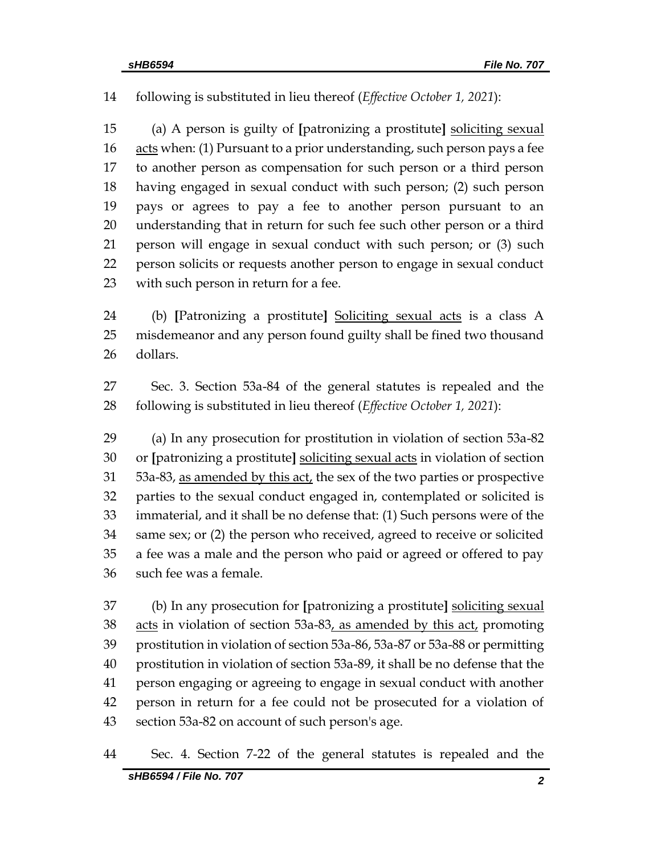following is substituted in lieu thereof (*Effective October 1, 2021*):

 (a) A person is guilty of **[**patronizing a prostitute**]** soliciting sexual acts when: (1) Pursuant to a prior understanding, such person pays a fee to another person as compensation for such person or a third person having engaged in sexual conduct with such person; (2) such person pays or agrees to pay a fee to another person pursuant to an understanding that in return for such fee such other person or a third person will engage in sexual conduct with such person; or (3) such person solicits or requests another person to engage in sexual conduct with such person in return for a fee.

 (b) **[**Patronizing a prostitute**]** Soliciting sexual acts is a class A misdemeanor and any person found guilty shall be fined two thousand dollars.

 Sec. 3. Section 53a-84 of the general statutes is repealed and the following is substituted in lieu thereof (*Effective October 1, 2021*):

 (a) In any prosecution for prostitution in violation of section 53a-82 or **[**patronizing a prostitute**]** soliciting sexual acts in violation of section 53a-83, as amended by this act, the sex of the two parties or prospective parties to the sexual conduct engaged in, contemplated or solicited is immaterial, and it shall be no defense that: (1) Such persons were of the same sex; or (2) the person who received, agreed to receive or solicited a fee was a male and the person who paid or agreed or offered to pay such fee was a female.

 (b) In any prosecution for **[**patronizing a prostitute**]** soliciting sexual 38 acts in violation of section 53a-83, as amended by this act, promoting prostitution in violation of section 53a-86, 53a-87 or 53a-88 or permitting prostitution in violation of section 53a-89, it shall be no defense that the person engaging or agreeing to engage in sexual conduct with another person in return for a fee could not be prosecuted for a violation of section 53a-82 on account of such person's age.

### Sec. 4. Section 7-22 of the general statutes is repealed and the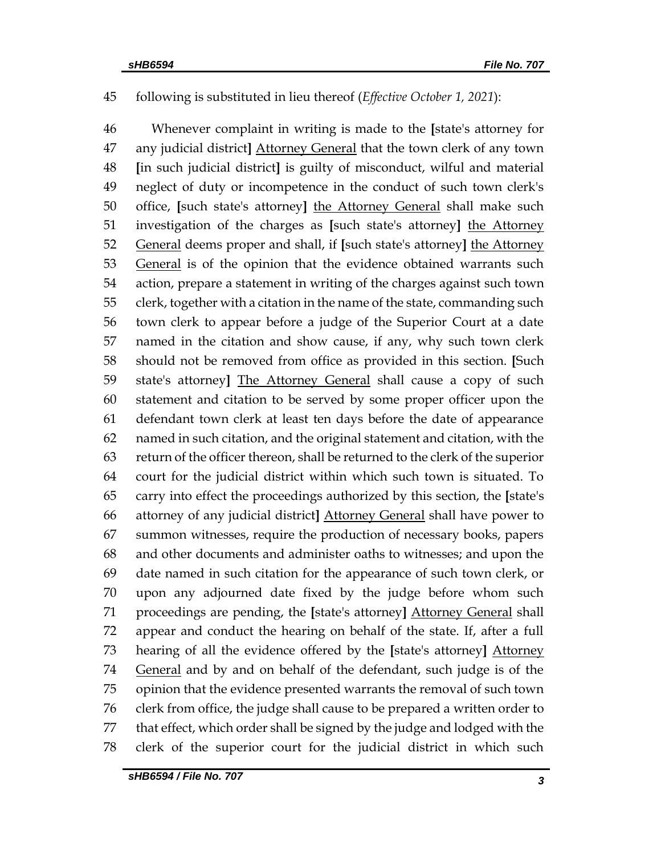# following is substituted in lieu thereof (*Effective October 1, 2021*):

 Whenever complaint in writing is made to the **[**state's attorney for any judicial district**]** Attorney General that the town clerk of any town **[**in such judicial district**]** is guilty of misconduct, wilful and material neglect of duty or incompetence in the conduct of such town clerk's office, **[**such state's attorney**]** the Attorney General shall make such investigation of the charges as **[**such state's attorney**]** the Attorney General deems proper and shall, if **[**such state's attorney**]** the Attorney 53 General is of the opinion that the evidence obtained warrants such action, prepare a statement in writing of the charges against such town clerk, together with a citation in the name of the state, commanding such town clerk to appear before a judge of the Superior Court at a date named in the citation and show cause, if any, why such town clerk should not be removed from office as provided in this section. **[**Such state's attorney**]** The Attorney General shall cause a copy of such statement and citation to be served by some proper officer upon the defendant town clerk at least ten days before the date of appearance named in such citation, and the original statement and citation, with the return of the officer thereon, shall be returned to the clerk of the superior court for the judicial district within which such town is situated. To carry into effect the proceedings authorized by this section, the **[**state's attorney of any judicial district**]** Attorney General shall have power to summon witnesses, require the production of necessary books, papers and other documents and administer oaths to witnesses; and upon the date named in such citation for the appearance of such town clerk, or upon any adjourned date fixed by the judge before whom such proceedings are pending, the **[**state's attorney**]** Attorney General shall appear and conduct the hearing on behalf of the state. If, after a full hearing of all the evidence offered by the **[**state's attorney**]** Attorney 74 General and by and on behalf of the defendant, such judge is of the opinion that the evidence presented warrants the removal of such town clerk from office, the judge shall cause to be prepared a written order to that effect, which order shall be signed by the judge and lodged with the clerk of the superior court for the judicial district in which such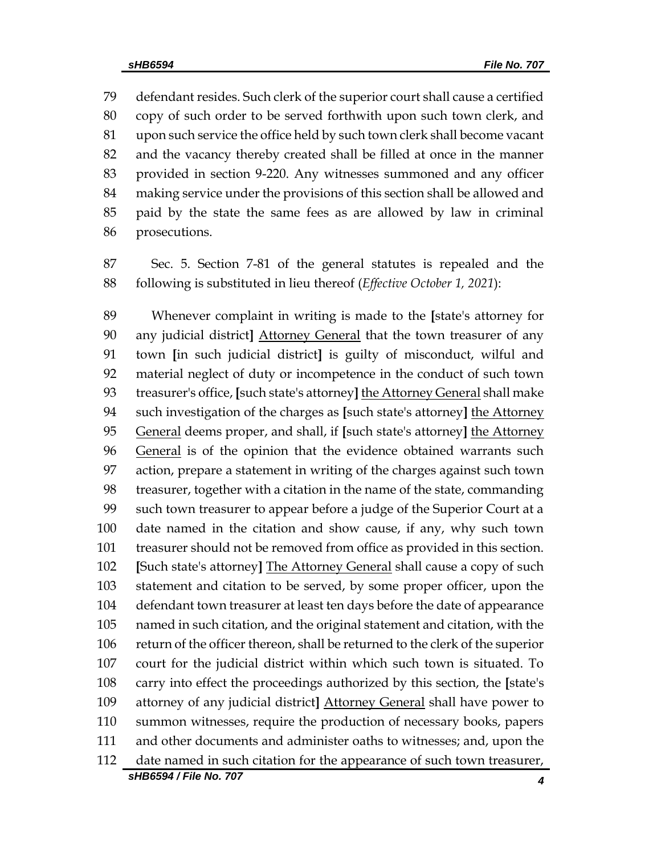defendant resides. Such clerk of the superior court shall cause a certified copy of such order to be served forthwith upon such town clerk, and upon such service the office held by such town clerk shall become vacant and the vacancy thereby created shall be filled at once in the manner provided in section 9-220. Any witnesses summoned and any officer making service under the provisions of this section shall be allowed and paid by the state the same fees as are allowed by law in criminal prosecutions.

 Sec. 5. Section 7-81 of the general statutes is repealed and the following is substituted in lieu thereof (*Effective October 1, 2021*):

*sHB6594 / File No. 707 4* Whenever complaint in writing is made to the **[**state's attorney for any judicial district**]** Attorney General that the town treasurer of any town **[**in such judicial district**]** is guilty of misconduct, wilful and material neglect of duty or incompetence in the conduct of such town treasurer's office, **[**such state's attorney**]** the Attorney General shall make such investigation of the charges as **[**such state's attorney**]** the Attorney General deems proper, and shall, if **[**such state's attorney**]** the Attorney General is of the opinion that the evidence obtained warrants such action, prepare a statement in writing of the charges against such town treasurer, together with a citation in the name of the state, commanding such town treasurer to appear before a judge of the Superior Court at a date named in the citation and show cause, if any, why such town treasurer should not be removed from office as provided in this section. **[**Such state's attorney**]** The Attorney General shall cause a copy of such statement and citation to be served, by some proper officer, upon the defendant town treasurer at least ten days before the date of appearance named in such citation, and the original statement and citation, with the return of the officer thereon, shall be returned to the clerk of the superior court for the judicial district within which such town is situated. To carry into effect the proceedings authorized by this section, the **[**state's attorney of any judicial district**]** Attorney General shall have power to summon witnesses, require the production of necessary books, papers and other documents and administer oaths to witnesses; and, upon the date named in such citation for the appearance of such town treasurer,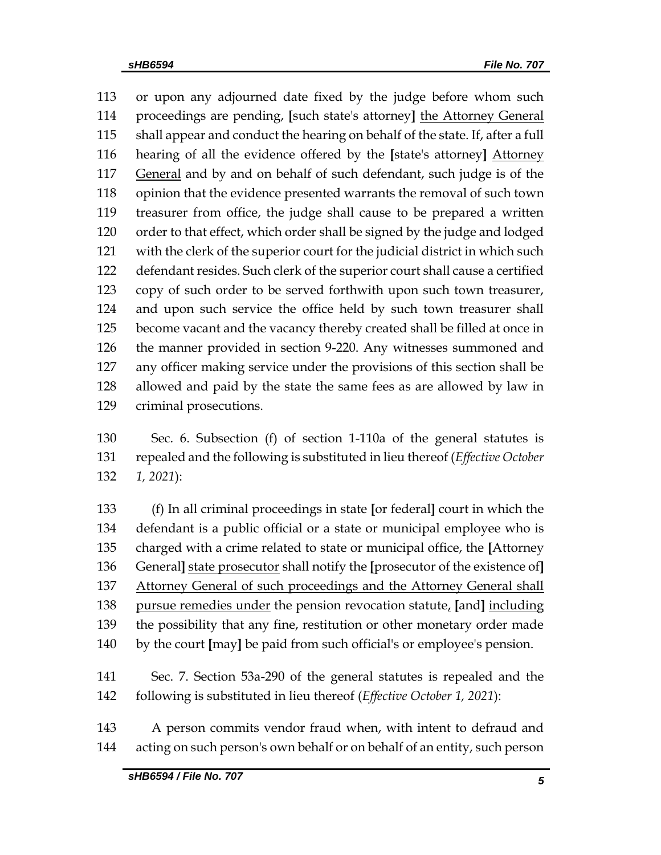or upon any adjourned date fixed by the judge before whom such proceedings are pending, **[**such state's attorney**]** the Attorney General shall appear and conduct the hearing on behalf of the state. If, after a full hearing of all the evidence offered by the **[**state's attorney**]** Attorney General and by and on behalf of such defendant, such judge is of the opinion that the evidence presented warrants the removal of such town treasurer from office, the judge shall cause to be prepared a written order to that effect, which order shall be signed by the judge and lodged with the clerk of the superior court for the judicial district in which such defendant resides. Such clerk of the superior court shall cause a certified copy of such order to be served forthwith upon such town treasurer, and upon such service the office held by such town treasurer shall become vacant and the vacancy thereby created shall be filled at once in the manner provided in section 9-220. Any witnesses summoned and any officer making service under the provisions of this section shall be allowed and paid by the state the same fees as are allowed by law in criminal prosecutions.

 Sec. 6. Subsection (f) of section 1-110a of the general statutes is repealed and the following is substituted in lieu thereof (*Effective October 1, 2021*):

 (f) In all criminal proceedings in state **[**or federal**]** court in which the defendant is a public official or a state or municipal employee who is charged with a crime related to state or municipal office, the **[**Attorney General**]** state prosecutor shall notify the **[**prosecutor of the existence of**]** Attorney General of such proceedings and the Attorney General shall pursue remedies under the pension revocation statute, **[**and**]** including the possibility that any fine, restitution or other monetary order made by the court **[**may**]** be paid from such official's or employee's pension.

 Sec. 7. Section 53a-290 of the general statutes is repealed and the following is substituted in lieu thereof (*Effective October 1, 2021*):

 A person commits vendor fraud when, with intent to defraud and acting on such person's own behalf or on behalf of an entity, such person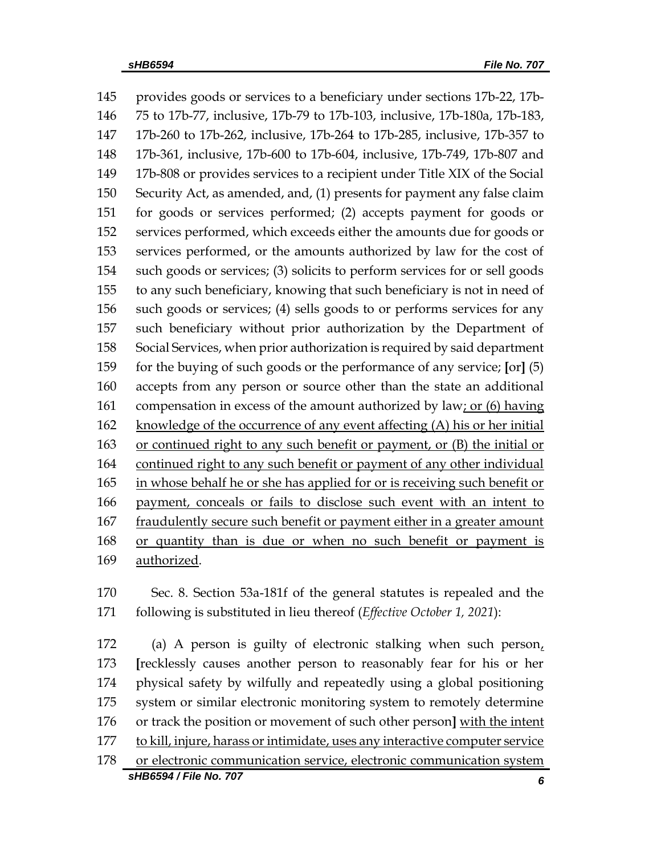provides goods or services to a beneficiary under sections 17b-22, 17b- 75 to 17b-77, inclusive, 17b-79 to 17b-103, inclusive, 17b-180a, 17b-183, 17b-260 to 17b-262, inclusive, 17b-264 to 17b-285, inclusive, 17b-357 to 17b-361, inclusive, 17b-600 to 17b-604, inclusive, 17b-749, 17b-807 and 17b-808 or provides services to a recipient under Title XIX of the Social Security Act, as amended, and, (1) presents for payment any false claim for goods or services performed; (2) accepts payment for goods or services performed, which exceeds either the amounts due for goods or services performed, or the amounts authorized by law for the cost of such goods or services; (3) solicits to perform services for or sell goods to any such beneficiary, knowing that such beneficiary is not in need of such goods or services; (4) sells goods to or performs services for any such beneficiary without prior authorization by the Department of Social Services, when prior authorization is required by said department for the buying of such goods or the performance of any service; **[**or**]** (5) accepts from any person or source other than the state an additional compensation in excess of the amount authorized by law; or (6) having 162 knowledge of the occurrence of any event affecting (A) his or her initial or continued right to any such benefit or payment, or (B) the initial or continued right to any such benefit or payment of any other individual in whose behalf he or she has applied for or is receiving such benefit or payment, conceals or fails to disclose such event with an intent to 167 fraudulently secure such benefit or payment either in a greater amount or quantity than is due or when no such benefit or payment is authorized.

 Sec. 8. Section 53a-181f of the general statutes is repealed and the following is substituted in lieu thereof (*Effective October 1, 2021*):

*sHB6594 / File No. 707 6* (a) A person is guilty of electronic stalking when such person, **[**recklessly causes another person to reasonably fear for his or her physical safety by wilfully and repeatedly using a global positioning system or similar electronic monitoring system to remotely determine or track the position or movement of such other person**]** with the intent to kill, injure, harass or intimidate, uses any interactive computer service or electronic communication service, electronic communication system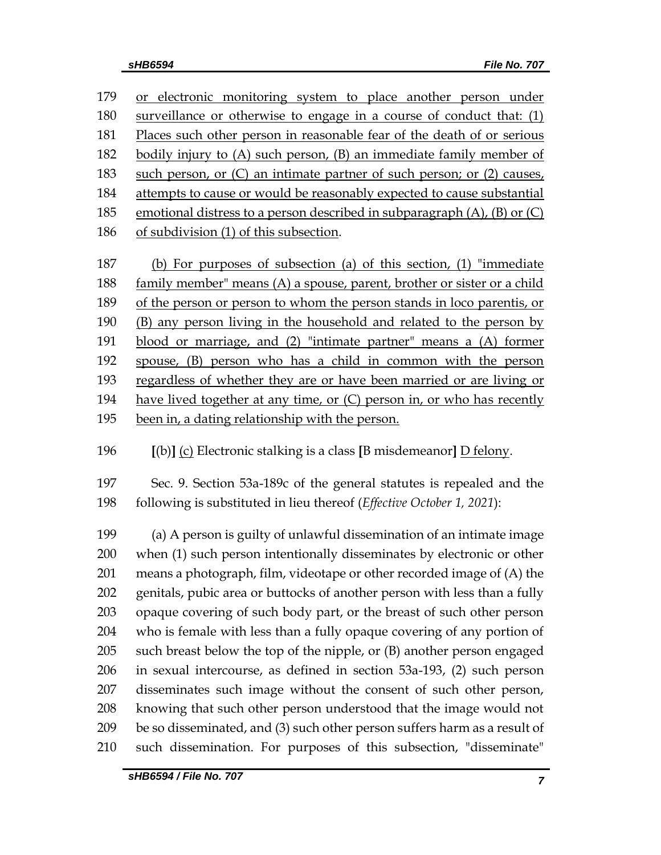| 179 | or electronic monitoring system to place another person under                   |
|-----|---------------------------------------------------------------------------------|
| 180 | surveillance or otherwise to engage in a course of conduct that: (1)            |
| 181 | Places such other person in reasonable fear of the death of or serious          |
| 182 | bodily injury to (A) such person, (B) an immediate family member of             |
| 183 | such person, or $(C)$ an intimate partner of such person; or $(2)$ causes,      |
| 184 | attempts to cause or would be reasonably expected to cause substantial          |
| 185 | emotional distress to a person described in subparagraph $(A)$ , $(B)$ or $(C)$ |
| 186 | of subdivision (1) of this subsection.                                          |
| 187 | (b) For purposes of subsection (a) of this section, (1) "immediate              |
| 188 | family member" means (A) a spouse, parent, brother or sister or a child         |
| 189 | of the person or person to whom the person stands in loco parentis, or          |
| 190 | (B) any person living in the household and related to the person by             |
| 191 | blood or marriage, and (2) "intimate partner" means a (A) former                |
| 192 | spouse, (B) person who has a child in common with the person                    |
| 193 | regardless of whether they are or have been married or are living or            |
| 194 | have lived together at any time, or $(C)$ person in, or who has recently        |
| 195 | been in, a dating relationship with the person.                                 |

196 **[**(b)**]** (c) Electronic stalking is a class **[**B misdemeanor**]** D felony.

197 Sec. 9. Section 53a-189c of the general statutes is repealed and the 198 following is substituted in lieu thereof (*Effective October 1, 2021*):

 (a) A person is guilty of unlawful dissemination of an intimate image when (1) such person intentionally disseminates by electronic or other means a photograph, film, videotape or other recorded image of (A) the genitals, pubic area or buttocks of another person with less than a fully opaque covering of such body part, or the breast of such other person who is female with less than a fully opaque covering of any portion of such breast below the top of the nipple, or (B) another person engaged in sexual intercourse, as defined in section 53a-193, (2) such person disseminates such image without the consent of such other person, knowing that such other person understood that the image would not be so disseminated, and (3) such other person suffers harm as a result of such dissemination. For purposes of this subsection, "disseminate"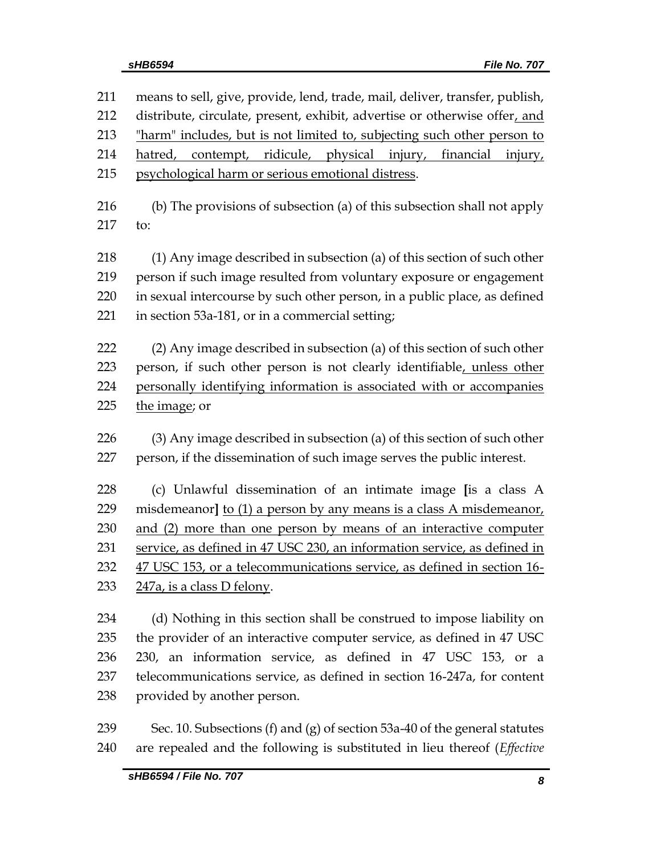| 211 | means to sell, give, provide, lend, trade, mail, deliver, transfer, publish, |  |  |  |
|-----|------------------------------------------------------------------------------|--|--|--|
| 212 | distribute, circulate, present, exhibit, advertise or otherwise offer, and   |  |  |  |
| 213 | "harm" includes, but is not limited to, subjecting such other person to      |  |  |  |
| 214 | hatred, contempt, ridicule, physical injury, financial<br>injury,            |  |  |  |
| 215 | psychological harm or serious emotional distress.                            |  |  |  |
| 216 | (b) The provisions of subsection (a) of this subsection shall not apply      |  |  |  |
| 217 | to:                                                                          |  |  |  |
| 218 | (1) Any image described in subsection (a) of this section of such other      |  |  |  |
| 219 | person if such image resulted from voluntary exposure or engagement          |  |  |  |
| 220 | in sexual intercourse by such other person, in a public place, as defined    |  |  |  |
| 221 | in section 53a-181, or in a commercial setting;                              |  |  |  |
| 222 | (2) Any image described in subsection (a) of this section of such other      |  |  |  |
| 223 | person, if such other person is not clearly identifiable, unless other       |  |  |  |
| 224 | personally identifying information is associated with or accompanies         |  |  |  |
| 225 | the image; or                                                                |  |  |  |
| 226 | (3) Any image described in subsection (a) of this section of such other      |  |  |  |
| 227 | person, if the dissemination of such image serves the public interest.       |  |  |  |
| 228 | (c) Unlawful dissemination of an intimate image [is a class A                |  |  |  |
| 229 | misdemeanor] to (1) a person by any means is a class A misdemeanor,          |  |  |  |
| 230 | and (2) more than one person by means of an interactive computer             |  |  |  |
| 231 | service, as defined in 47 USC 230, an information service, as defined in     |  |  |  |
| 232 | 47 USC 153, or a telecommunications service, as defined in section 16-       |  |  |  |
| 233 | <u>247a, is a class D felony.</u>                                            |  |  |  |
| 234 | (d) Nothing in this section shall be construed to impose liability on        |  |  |  |
| 235 | the provider of an interactive computer service, as defined in 47 USC        |  |  |  |
| 236 | 230, an information service, as defined in 47 USC 153, or a                  |  |  |  |

 telecommunications service, as defined in section 16-247a, for content provided by another person.

 Sec. 10. Subsections (f) and (g) of section 53a-40 of the general statutes are repealed and the following is substituted in lieu thereof (*Effective*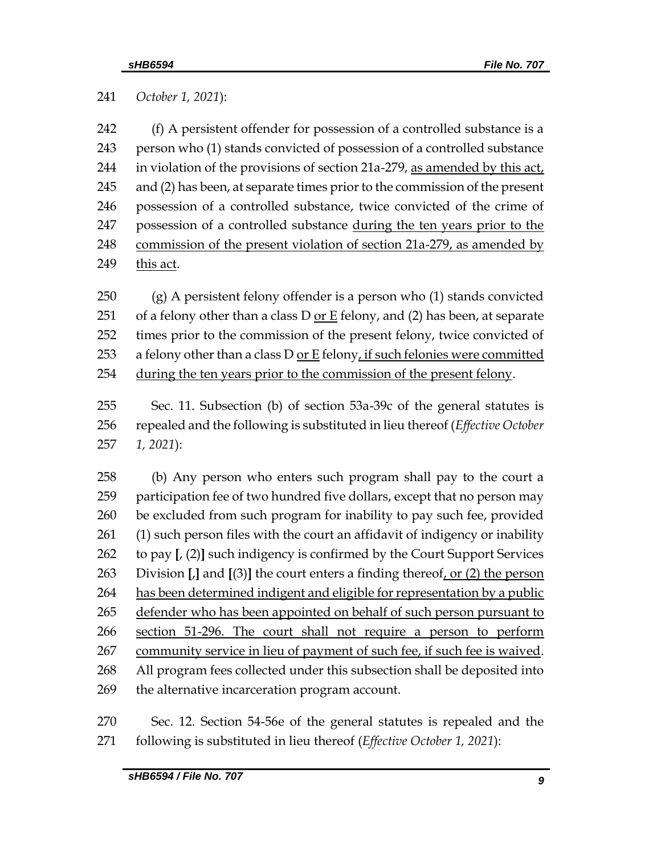*October 1, 2021*):

 (f) A persistent offender for possession of a controlled substance is a person who (1) stands convicted of possession of a controlled substance in violation of the provisions of section 21a-279, as amended by this act, and (2) has been, at separate times prior to the commission of the present possession of a controlled substance, twice convicted of the crime of possession of a controlled substance during the ten years prior to the 248 commission of the present violation of section 21a-279, as amended by 249 this act.

 (g) A persistent felony offender is a person who (1) stands convicted 251 of a felony other than a class  $D$  or  $E$  felony, and (2) has been, at separate times prior to the commission of the present felony, twice convicted of 253 a felony other than a class D or E felony, if such felonies were committed during the ten years prior to the commission of the present felony.

 Sec. 11. Subsection (b) of section 53a-39c of the general statutes is repealed and the following is substituted in lieu thereof (*Effective October 1, 2021*):

 (b) Any person who enters such program shall pay to the court a participation fee of two hundred five dollars, except that no person may be excluded from such program for inability to pay such fee, provided (1) such person files with the court an affidavit of indigency or inability to pay **[**, (2)**]** such indigency is confirmed by the Court Support Services Division **[**,**]** and **[**(3)**]** the court enters a finding thereof, or (2) the person 264 has been determined indigent and eligible for representation by a public 265 defender who has been appointed on behalf of such person pursuant to 266 section 51-296. The court shall not require a person to perform community service in lieu of payment of such fee, if such fee is waived. All program fees collected under this subsection shall be deposited into the alternative incarceration program account.

 Sec. 12. Section 54-56e of the general statutes is repealed and the following is substituted in lieu thereof (*Effective October 1, 2021*):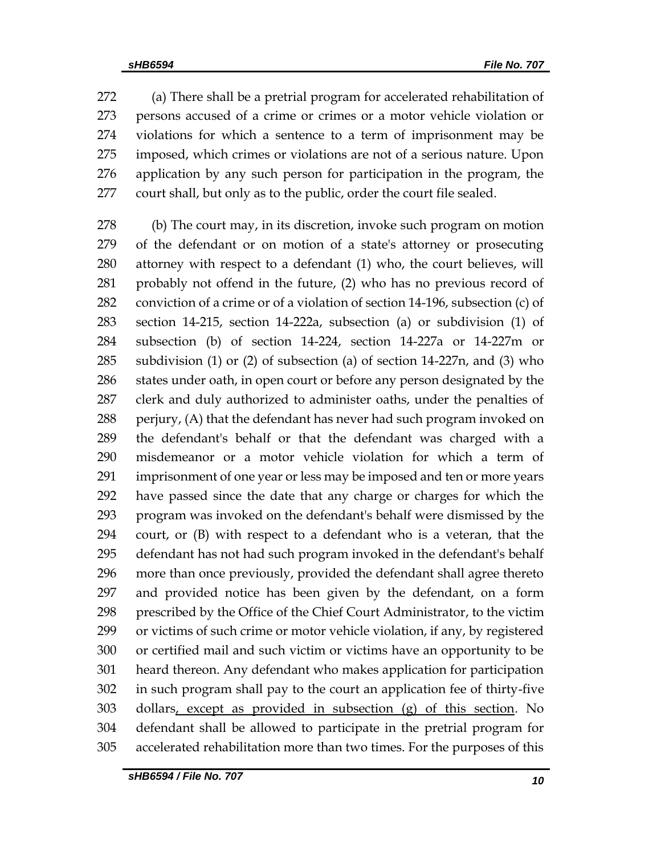(a) There shall be a pretrial program for accelerated rehabilitation of persons accused of a crime or crimes or a motor vehicle violation or violations for which a sentence to a term of imprisonment may be imposed, which crimes or violations are not of a serious nature. Upon application by any such person for participation in the program, the court shall, but only as to the public, order the court file sealed.

 (b) The court may, in its discretion, invoke such program on motion of the defendant or on motion of a state's attorney or prosecuting attorney with respect to a defendant (1) who, the court believes, will probably not offend in the future, (2) who has no previous record of conviction of a crime or of a violation of section 14-196, subsection (c) of section 14-215, section 14-222a, subsection (a) or subdivision (1) of subsection (b) of section 14-224, section 14-227a or 14-227m or subdivision (1) or (2) of subsection (a) of section 14-227n, and (3) who 286 states under oath, in open court or before any person designated by the clerk and duly authorized to administer oaths, under the penalties of 288 perjury, (A) that the defendant has never had such program invoked on the defendant's behalf or that the defendant was charged with a misdemeanor or a motor vehicle violation for which a term of imprisonment of one year or less may be imposed and ten or more years have passed since the date that any charge or charges for which the program was invoked on the defendant's behalf were dismissed by the court, or (B) with respect to a defendant who is a veteran, that the defendant has not had such program invoked in the defendant's behalf more than once previously, provided the defendant shall agree thereto and provided notice has been given by the defendant, on a form prescribed by the Office of the Chief Court Administrator, to the victim or victims of such crime or motor vehicle violation, if any, by registered or certified mail and such victim or victims have an opportunity to be heard thereon. Any defendant who makes application for participation in such program shall pay to the court an application fee of thirty-five dollars, except as provided in subsection (g) of this section. No defendant shall be allowed to participate in the pretrial program for accelerated rehabilitation more than two times. For the purposes of this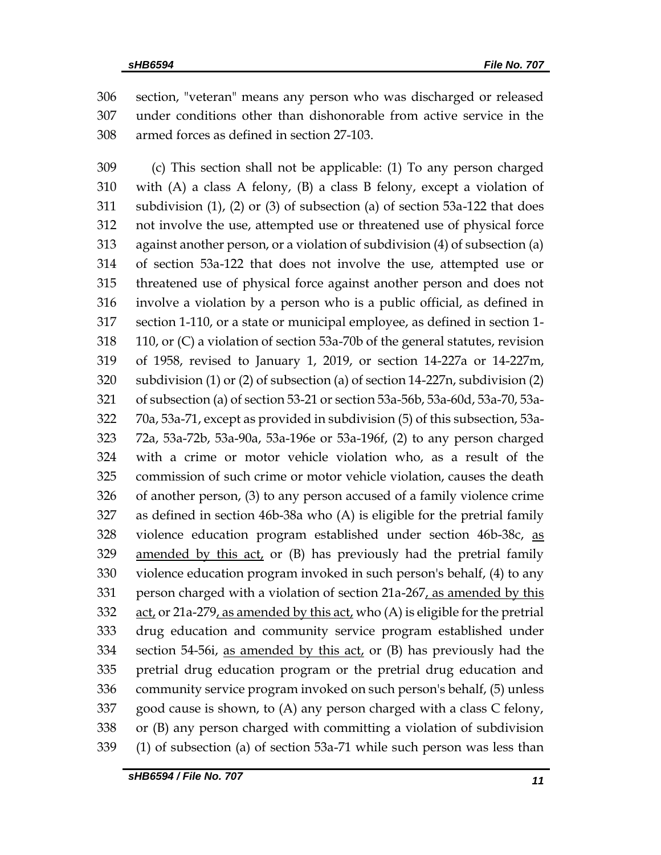section, "veteran" means any person who was discharged or released under conditions other than dishonorable from active service in the armed forces as defined in section 27-103.

 (c) This section shall not be applicable: (1) To any person charged with (A) a class A felony, (B) a class B felony, except a violation of subdivision (1), (2) or (3) of subsection (a) of section 53a-122 that does not involve the use, attempted use or threatened use of physical force against another person, or a violation of subdivision (4) of subsection (a) of section 53a-122 that does not involve the use, attempted use or threatened use of physical force against another person and does not involve a violation by a person who is a public official, as defined in section 1-110, or a state or municipal employee, as defined in section 1- 110, or (C) a violation of section 53a-70b of the general statutes, revision of 1958, revised to January 1, 2019, or section 14-227a or 14-227m, subdivision (1) or (2) of subsection (a) of section 14-227n, subdivision (2) of subsection (a) of section 53-21 or section 53a-56b, 53a-60d, 53a-70, 53a- 70a, 53a-71, except as provided in subdivision (5) of this subsection, 53a- 72a, 53a-72b, 53a-90a, 53a-196e or 53a-196f, (2) to any person charged with a crime or motor vehicle violation who, as a result of the commission of such crime or motor vehicle violation, causes the death of another person, (3) to any person accused of a family violence crime as defined in section 46b-38a who (A) is eligible for the pretrial family violence education program established under section 46b-38c, as amended by this act, or (B) has previously had the pretrial family violence education program invoked in such person's behalf, (4) to any 331 person charged with a violation of section 21a-267, as amended by this act, or 21a-279, as amended by this act, who (A) is eligible for the pretrial drug education and community service program established under section 54-56i, as amended by this act, or (B) has previously had the pretrial drug education program or the pretrial drug education and community service program invoked on such person's behalf, (5) unless good cause is shown, to (A) any person charged with a class C felony, or (B) any person charged with committing a violation of subdivision (1) of subsection (a) of section 53a-71 while such person was less than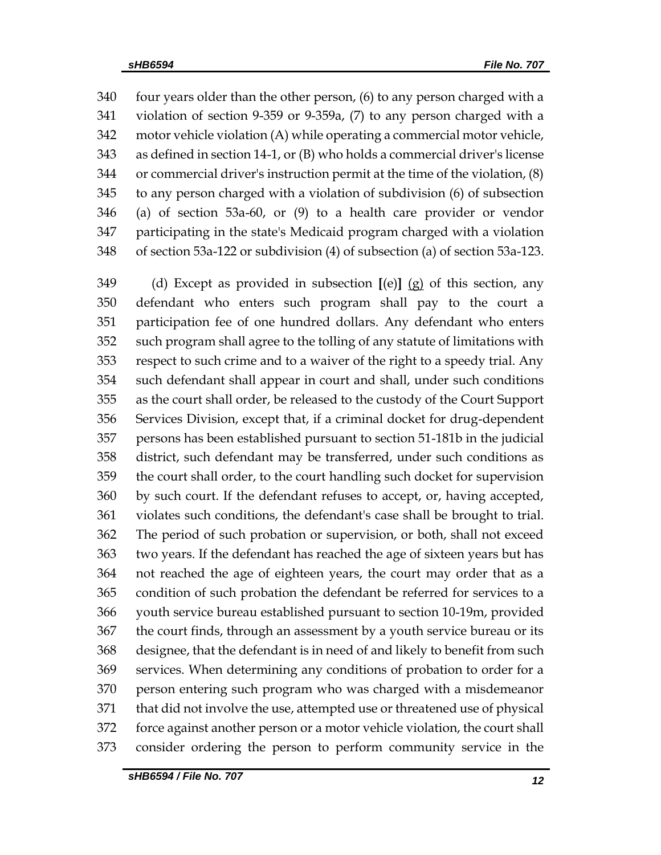four years older than the other person, (6) to any person charged with a violation of section 9-359 or 9-359a, (7) to any person charged with a motor vehicle violation (A) while operating a commercial motor vehicle, as defined in section 14-1, or (B) who holds a commercial driver's license or commercial driver's instruction permit at the time of the violation, (8) to any person charged with a violation of subdivision (6) of subsection (a) of section 53a-60, or (9) to a health care provider or vendor participating in the state's Medicaid program charged with a violation of section 53a-122 or subdivision (4) of subsection (a) of section 53a-123.

 (d) Except as provided in subsection **[**(e)**]** (g) of this section, any defendant who enters such program shall pay to the court a participation fee of one hundred dollars. Any defendant who enters such program shall agree to the tolling of any statute of limitations with respect to such crime and to a waiver of the right to a speedy trial. Any such defendant shall appear in court and shall, under such conditions as the court shall order, be released to the custody of the Court Support Services Division, except that, if a criminal docket for drug-dependent persons has been established pursuant to section 51-181b in the judicial district, such defendant may be transferred, under such conditions as the court shall order, to the court handling such docket for supervision by such court. If the defendant refuses to accept, or, having accepted, violates such conditions, the defendant's case shall be brought to trial. The period of such probation or supervision, or both, shall not exceed two years. If the defendant has reached the age of sixteen years but has not reached the age of eighteen years, the court may order that as a condition of such probation the defendant be referred for services to a youth service bureau established pursuant to section 10-19m, provided the court finds, through an assessment by a youth service bureau or its designee, that the defendant is in need of and likely to benefit from such services. When determining any conditions of probation to order for a person entering such program who was charged with a misdemeanor that did not involve the use, attempted use or threatened use of physical force against another person or a motor vehicle violation, the court shall consider ordering the person to perform community service in the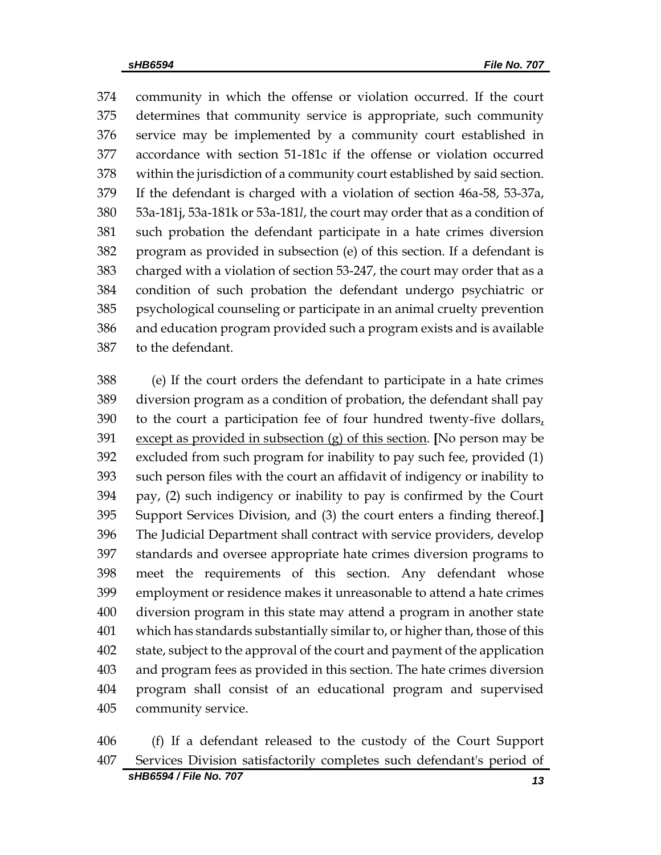community in which the offense or violation occurred. If the court determines that community service is appropriate, such community service may be implemented by a community court established in accordance with section 51-181c if the offense or violation occurred within the jurisdiction of a community court established by said section. If the defendant is charged with a violation of section 46a-58, 53-37a, 53a-181j, 53a-181k or 53a-181*l*, the court may order that as a condition of such probation the defendant participate in a hate crimes diversion program as provided in subsection (e) of this section. If a defendant is charged with a violation of section 53-247, the court may order that as a condition of such probation the defendant undergo psychiatric or psychological counseling or participate in an animal cruelty prevention and education program provided such a program exists and is available to the defendant.

 (e) If the court orders the defendant to participate in a hate crimes diversion program as a condition of probation, the defendant shall pay 390 to the court a participation fee of four hundred twenty-five dollars, except as provided in subsection (g) of this section. **[**No person may be excluded from such program for inability to pay such fee, provided (1) such person files with the court an affidavit of indigency or inability to pay, (2) such indigency or inability to pay is confirmed by the Court Support Services Division, and (3) the court enters a finding thereof.**]** The Judicial Department shall contract with service providers, develop standards and oversee appropriate hate crimes diversion programs to meet the requirements of this section. Any defendant whose employment or residence makes it unreasonable to attend a hate crimes diversion program in this state may attend a program in another state which has standards substantially similar to, or higher than, those of this state, subject to the approval of the court and payment of the application and program fees as provided in this section. The hate crimes diversion program shall consist of an educational program and supervised community service.

*sHB6594 / File No. 707 13* (f) If a defendant released to the custody of the Court Support Services Division satisfactorily completes such defendant's period of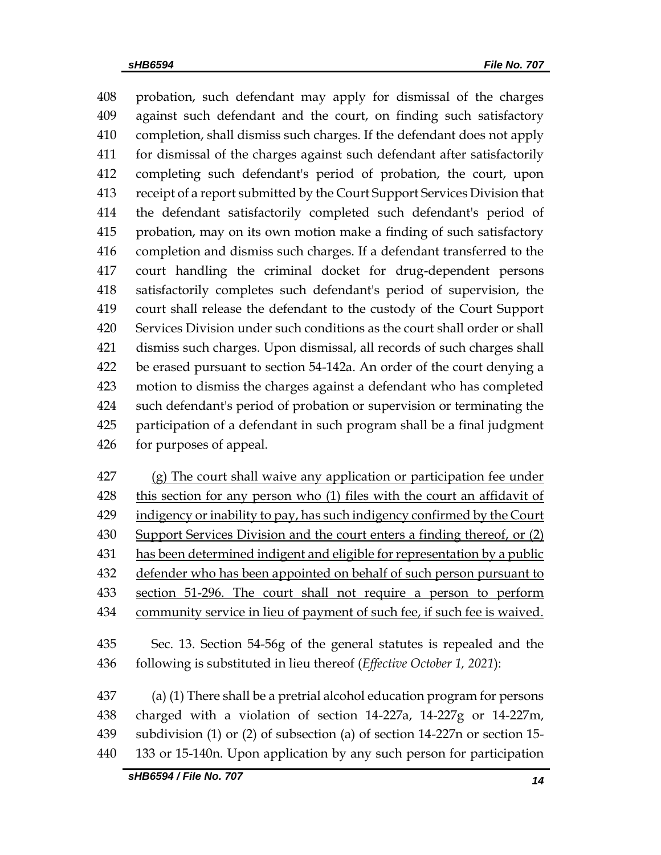probation, such defendant may apply for dismissal of the charges against such defendant and the court, on finding such satisfactory completion, shall dismiss such charges. If the defendant does not apply for dismissal of the charges against such defendant after satisfactorily completing such defendant's period of probation, the court, upon receipt of a report submitted by the Court Support Services Division that the defendant satisfactorily completed such defendant's period of probation, may on its own motion make a finding of such satisfactory completion and dismiss such charges. If a defendant transferred to the court handling the criminal docket for drug-dependent persons satisfactorily completes such defendant's period of supervision, the court shall release the defendant to the custody of the Court Support Services Division under such conditions as the court shall order or shall dismiss such charges. Upon dismissal, all records of such charges shall be erased pursuant to section 54-142a. An order of the court denying a motion to dismiss the charges against a defendant who has completed such defendant's period of probation or supervision or terminating the participation of a defendant in such program shall be a final judgment for purposes of appeal.

427 (g) The court shall waive any application or participation fee under 428 this section for any person who (1) files with the court an affidavit of 429 indigency or inability to pay, has such indigency confirmed by the Court 430 Support Services Division and the court enters a finding thereof, or (2) has been determined indigent and eligible for representation by a public 432 defender who has been appointed on behalf of such person pursuant to section 51-296. The court shall not require a person to perform community service in lieu of payment of such fee, if such fee is waived.

 Sec. 13. Section 54-56g of the general statutes is repealed and the following is substituted in lieu thereof (*Effective October 1, 2021*):

 (a) (1) There shall be a pretrial alcohol education program for persons charged with a violation of section 14-227a, 14-227g or 14-227m, subdivision (1) or (2) of subsection (a) of section 14-227n or section 15- 133 or 15-140n. Upon application by any such person for participation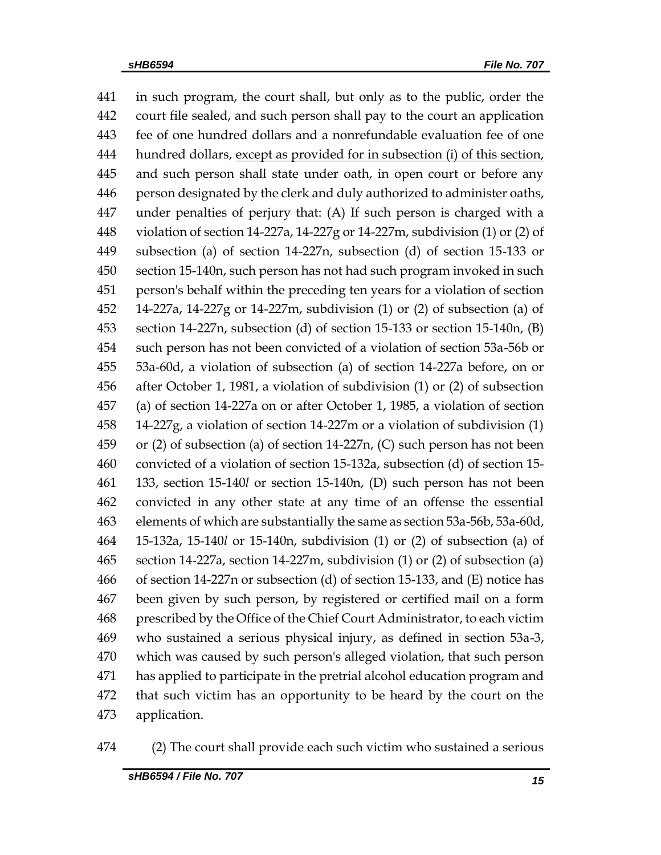in such program, the court shall, but only as to the public, order the court file sealed, and such person shall pay to the court an application fee of one hundred dollars and a nonrefundable evaluation fee of one hundred dollars, except as provided for in subsection (i) of this section, and such person shall state under oath, in open court or before any person designated by the clerk and duly authorized to administer oaths, under penalties of perjury that: (A) If such person is charged with a violation of section 14-227a, 14-227g or 14-227m, subdivision (1) or (2) of subsection (a) of section 14-227n, subsection (d) of section 15-133 or section 15-140n, such person has not had such program invoked in such person's behalf within the preceding ten years for a violation of section 14-227a, 14-227g or 14-227m, subdivision (1) or (2) of subsection (a) of section 14-227n, subsection (d) of section 15-133 or section 15-140n, (B) such person has not been convicted of a violation of section 53a-56b or 53a-60d, a violation of subsection (a) of section 14-227a before, on or after October 1, 1981, a violation of subdivision (1) or (2) of subsection (a) of section 14-227a on or after October 1, 1985, a violation of section 14-227g, a violation of section 14-227m or a violation of subdivision (1) or (2) of subsection (a) of section 14-227n, (C) such person has not been convicted of a violation of section 15-132a, subsection (d) of section 15- 133, section 15-140*l* or section 15-140n, (D) such person has not been convicted in any other state at any time of an offense the essential elements of which are substantially the same as section 53a-56b, 53a-60d, 15-132a, 15-140*l* or 15-140n, subdivision (1) or (2) of subsection (a) of section 14-227a, section 14-227m, subdivision (1) or (2) of subsection (a) of section 14-227n or subsection (d) of section 15-133, and (E) notice has been given by such person, by registered or certified mail on a form prescribed by the Office of the Chief Court Administrator, to each victim who sustained a serious physical injury, as defined in section 53a-3, which was caused by such person's alleged violation, that such person has applied to participate in the pretrial alcohol education program and that such victim has an opportunity to be heard by the court on the application.

(2) The court shall provide each such victim who sustained a serious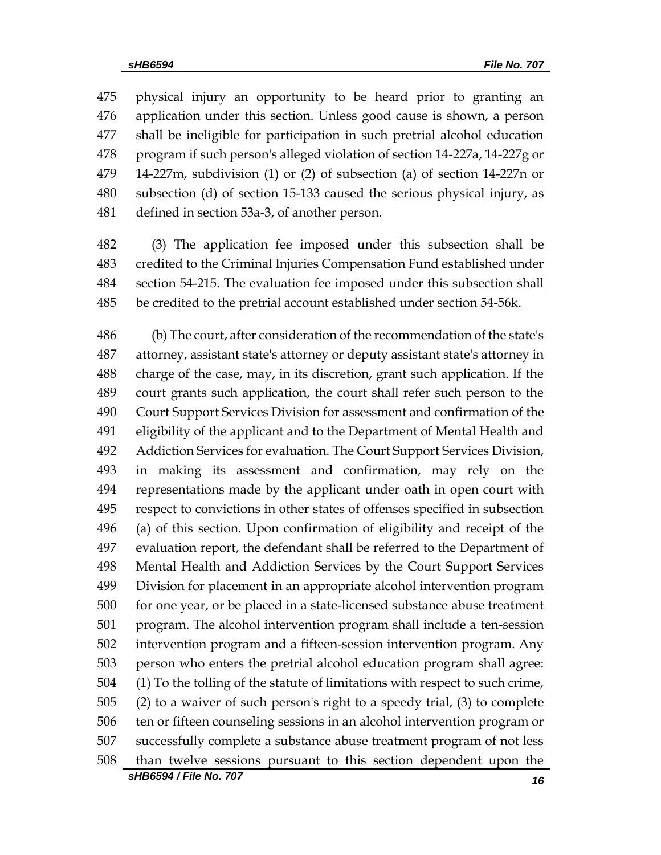physical injury an opportunity to be heard prior to granting an application under this section. Unless good cause is shown, a person shall be ineligible for participation in such pretrial alcohol education program if such person's alleged violation of section 14-227a, 14-227g or 14-227m, subdivision (1) or (2) of subsection (a) of section 14-227n or subsection (d) of section 15-133 caused the serious physical injury, as defined in section 53a-3, of another person.

 (3) The application fee imposed under this subsection shall be credited to the Criminal Injuries Compensation Fund established under section 54-215. The evaluation fee imposed under this subsection shall be credited to the pretrial account established under section 54-56k.

 (b) The court, after consideration of the recommendation of the state's attorney, assistant state's attorney or deputy assistant state's attorney in charge of the case, may, in its discretion, grant such application. If the court grants such application, the court shall refer such person to the Court Support Services Division for assessment and confirmation of the eligibility of the applicant and to the Department of Mental Health and Addiction Services for evaluation. The Court Support Services Division, in making its assessment and confirmation, may rely on the representations made by the applicant under oath in open court with respect to convictions in other states of offenses specified in subsection (a) of this section. Upon confirmation of eligibility and receipt of the evaluation report, the defendant shall be referred to the Department of Mental Health and Addiction Services by the Court Support Services Division for placement in an appropriate alcohol intervention program for one year, or be placed in a state-licensed substance abuse treatment program. The alcohol intervention program shall include a ten-session intervention program and a fifteen-session intervention program. Any person who enters the pretrial alcohol education program shall agree: (1) To the tolling of the statute of limitations with respect to such crime, (2) to a waiver of such person's right to a speedy trial, (3) to complete ten or fifteen counseling sessions in an alcohol intervention program or successfully complete a substance abuse treatment program of not less than twelve sessions pursuant to this section dependent upon the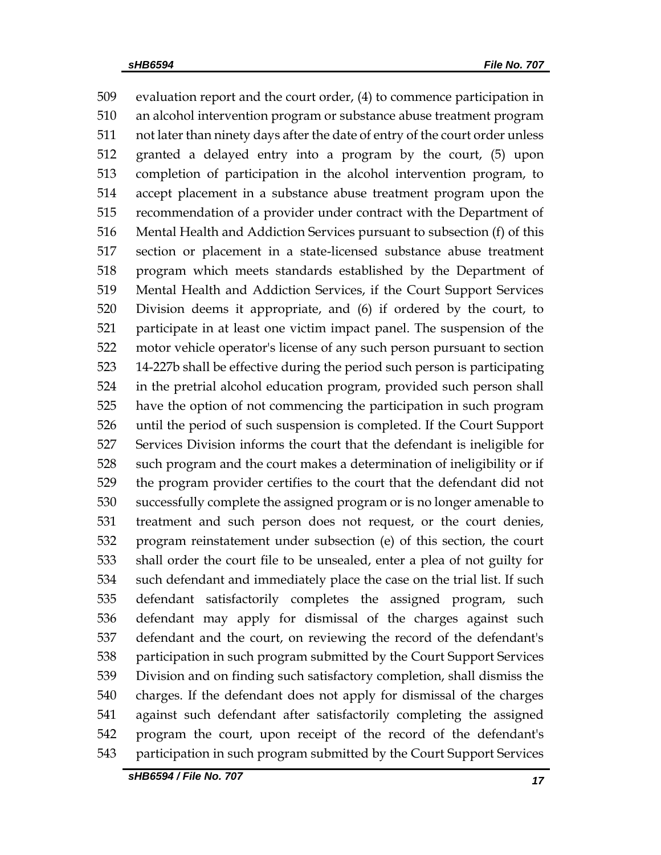evaluation report and the court order, (4) to commence participation in an alcohol intervention program or substance abuse treatment program not later than ninety days after the date of entry of the court order unless granted a delayed entry into a program by the court, (5) upon completion of participation in the alcohol intervention program, to accept placement in a substance abuse treatment program upon the recommendation of a provider under contract with the Department of Mental Health and Addiction Services pursuant to subsection (f) of this section or placement in a state-licensed substance abuse treatment program which meets standards established by the Department of Mental Health and Addiction Services, if the Court Support Services Division deems it appropriate, and (6) if ordered by the court, to participate in at least one victim impact panel. The suspension of the motor vehicle operator's license of any such person pursuant to section 14-227b shall be effective during the period such person is participating in the pretrial alcohol education program, provided such person shall have the option of not commencing the participation in such program until the period of such suspension is completed. If the Court Support Services Division informs the court that the defendant is ineligible for such program and the court makes a determination of ineligibility or if the program provider certifies to the court that the defendant did not successfully complete the assigned program or is no longer amenable to treatment and such person does not request, or the court denies, program reinstatement under subsection (e) of this section, the court shall order the court file to be unsealed, enter a plea of not guilty for such defendant and immediately place the case on the trial list. If such defendant satisfactorily completes the assigned program, such defendant may apply for dismissal of the charges against such defendant and the court, on reviewing the record of the defendant's participation in such program submitted by the Court Support Services Division and on finding such satisfactory completion, shall dismiss the charges. If the defendant does not apply for dismissal of the charges against such defendant after satisfactorily completing the assigned program the court, upon receipt of the record of the defendant's participation in such program submitted by the Court Support Services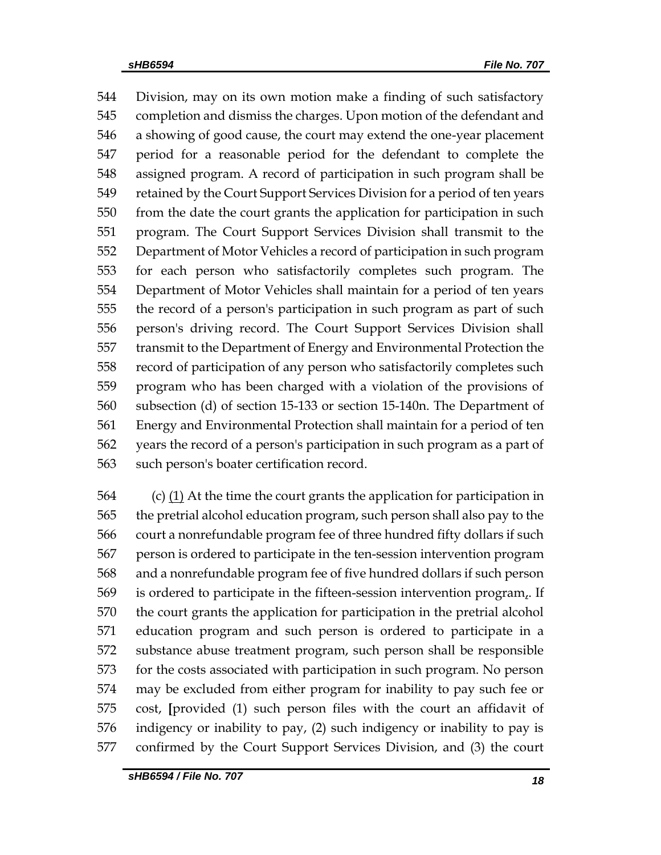Division, may on its own motion make a finding of such satisfactory completion and dismiss the charges. Upon motion of the defendant and a showing of good cause, the court may extend the one-year placement period for a reasonable period for the defendant to complete the assigned program. A record of participation in such program shall be retained by the Court Support Services Division for a period of ten years from the date the court grants the application for participation in such program. The Court Support Services Division shall transmit to the Department of Motor Vehicles a record of participation in such program for each person who satisfactorily completes such program. The Department of Motor Vehicles shall maintain for a period of ten years the record of a person's participation in such program as part of such person's driving record. The Court Support Services Division shall transmit to the Department of Energy and Environmental Protection the record of participation of any person who satisfactorily completes such program who has been charged with a violation of the provisions of subsection (d) of section 15-133 or section 15-140n. The Department of Energy and Environmental Protection shall maintain for a period of ten years the record of a person's participation in such program as a part of such person's boater certification record.

564 (c)  $(1)$  At the time the court grants the application for participation in the pretrial alcohol education program, such person shall also pay to the court a nonrefundable program fee of three hundred fifty dollars if such person is ordered to participate in the ten-session intervention program and a nonrefundable program fee of five hundred dollars if such person 569 is ordered to participate in the fifteen-session intervention program. If the court grants the application for participation in the pretrial alcohol education program and such person is ordered to participate in a substance abuse treatment program, such person shall be responsible for the costs associated with participation in such program. No person may be excluded from either program for inability to pay such fee or cost, **[**provided (1) such person files with the court an affidavit of indigency or inability to pay, (2) such indigency or inability to pay is confirmed by the Court Support Services Division, and (3) the court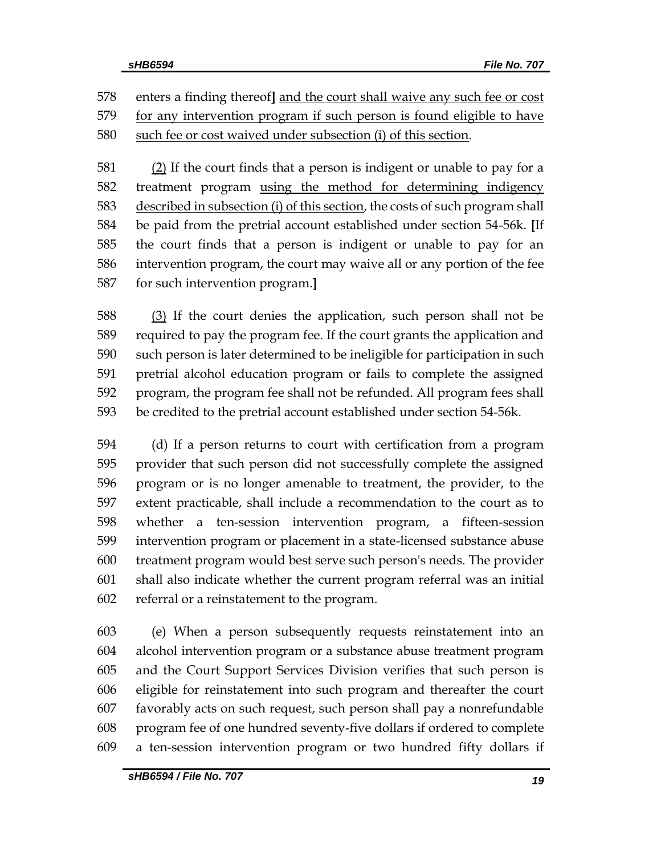enters a finding thereof**]** and the court shall waive any such fee or cost 579 for any intervention program if such person is found eligible to have such fee or cost waived under subsection (i) of this section.

 (2) If the court finds that a person is indigent or unable to pay for a treatment program using the method for determining indigency 583 described in subsection (i) of this section, the costs of such program shall be paid from the pretrial account established under section 54-56k. **[**If the court finds that a person is indigent or unable to pay for an intervention program, the court may waive all or any portion of the fee for such intervention program.**]**

 (3) If the court denies the application, such person shall not be required to pay the program fee. If the court grants the application and such person is later determined to be ineligible for participation in such pretrial alcohol education program or fails to complete the assigned program, the program fee shall not be refunded. All program fees shall be credited to the pretrial account established under section 54-56k.

 (d) If a person returns to court with certification from a program provider that such person did not successfully complete the assigned program or is no longer amenable to treatment, the provider, to the extent practicable, shall include a recommendation to the court as to whether a ten-session intervention program, a fifteen-session intervention program or placement in a state-licensed substance abuse treatment program would best serve such person's needs. The provider shall also indicate whether the current program referral was an initial referral or a reinstatement to the program.

 (e) When a person subsequently requests reinstatement into an alcohol intervention program or a substance abuse treatment program and the Court Support Services Division verifies that such person is eligible for reinstatement into such program and thereafter the court favorably acts on such request, such person shall pay a nonrefundable program fee of one hundred seventy-five dollars if ordered to complete a ten-session intervention program or two hundred fifty dollars if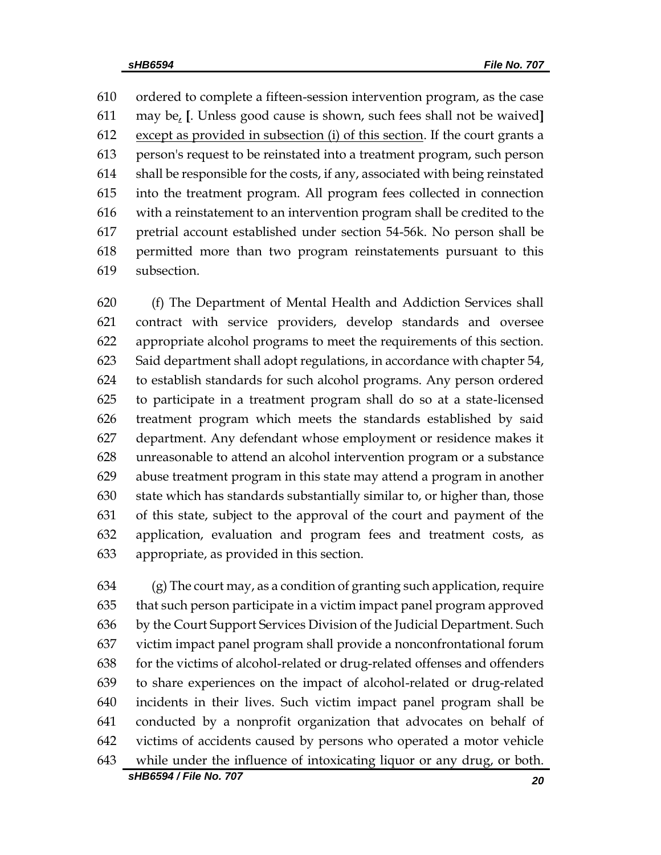ordered to complete a fifteen-session intervention program, as the case may be, **[**. Unless good cause is shown, such fees shall not be waived**]** except as provided in subsection (i) of this section. If the court grants a person's request to be reinstated into a treatment program, such person shall be responsible for the costs, if any, associated with being reinstated into the treatment program. All program fees collected in connection with a reinstatement to an intervention program shall be credited to the pretrial account established under section 54-56k. No person shall be permitted more than two program reinstatements pursuant to this subsection.

 (f) The Department of Mental Health and Addiction Services shall contract with service providers, develop standards and oversee appropriate alcohol programs to meet the requirements of this section. Said department shall adopt regulations, in accordance with chapter 54, to establish standards for such alcohol programs. Any person ordered to participate in a treatment program shall do so at a state-licensed treatment program which meets the standards established by said department. Any defendant whose employment or residence makes it unreasonable to attend an alcohol intervention program or a substance abuse treatment program in this state may attend a program in another state which has standards substantially similar to, or higher than, those of this state, subject to the approval of the court and payment of the application, evaluation and program fees and treatment costs, as appropriate, as provided in this section.

 (g) The court may, as a condition of granting such application, require that such person participate in a victim impact panel program approved by the Court Support Services Division of the Judicial Department. Such victim impact panel program shall provide a nonconfrontational forum for the victims of alcohol-related or drug-related offenses and offenders to share experiences on the impact of alcohol-related or drug-related incidents in their lives. Such victim impact panel program shall be conducted by a nonprofit organization that advocates on behalf of victims of accidents caused by persons who operated a motor vehicle while under the influence of intoxicating liquor or any drug, or both.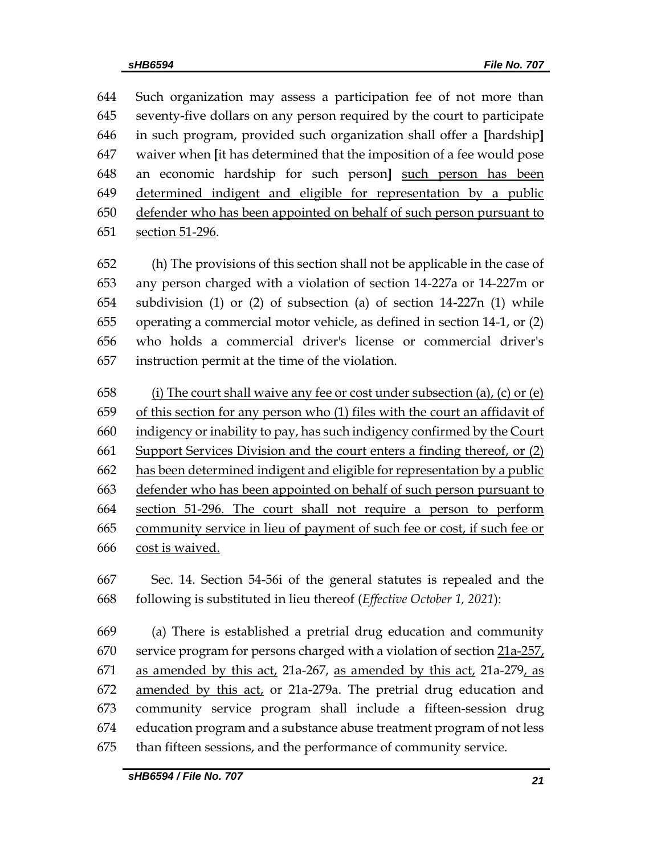Such organization may assess a participation fee of not more than seventy-five dollars on any person required by the court to participate in such program, provided such organization shall offer a **[**hardship**]** waiver when **[**it has determined that the imposition of a fee would pose an economic hardship for such person**]** such person has been determined indigent and eligible for representation by a public defender who has been appointed on behalf of such person pursuant to section 51-296.

 (h) The provisions of this section shall not be applicable in the case of any person charged with a violation of section 14-227a or 14-227m or subdivision (1) or (2) of subsection (a) of section 14-227n (1) while operating a commercial motor vehicle, as defined in section 14-1, or (2) who holds a commercial driver's license or commercial driver's instruction permit at the time of the violation.

658 (i) The court shall waive any fee or cost under subsection (a), (c) or (e) of this section for any person who (1) files with the court an affidavit of indigency or inability to pay, has such indigency confirmed by the Court Support Services Division and the court enters a finding thereof, or (2) has been determined indigent and eligible for representation by a public defender who has been appointed on behalf of such person pursuant to section 51-296. The court shall not require a person to perform community service in lieu of payment of such fee or cost, if such fee or cost is waived.

 Sec. 14. Section 54-56i of the general statutes is repealed and the following is substituted in lieu thereof (*Effective October 1, 2021*):

 (a) There is established a pretrial drug education and community service program for persons charged with a violation of section 21a-257, 671 as amended by this act, 21a-267, as amended by this act, 21a-279, as amended by this act, or 21a-279a. The pretrial drug education and community service program shall include a fifteen-session drug education program and a substance abuse treatment program of not less than fifteen sessions, and the performance of community service.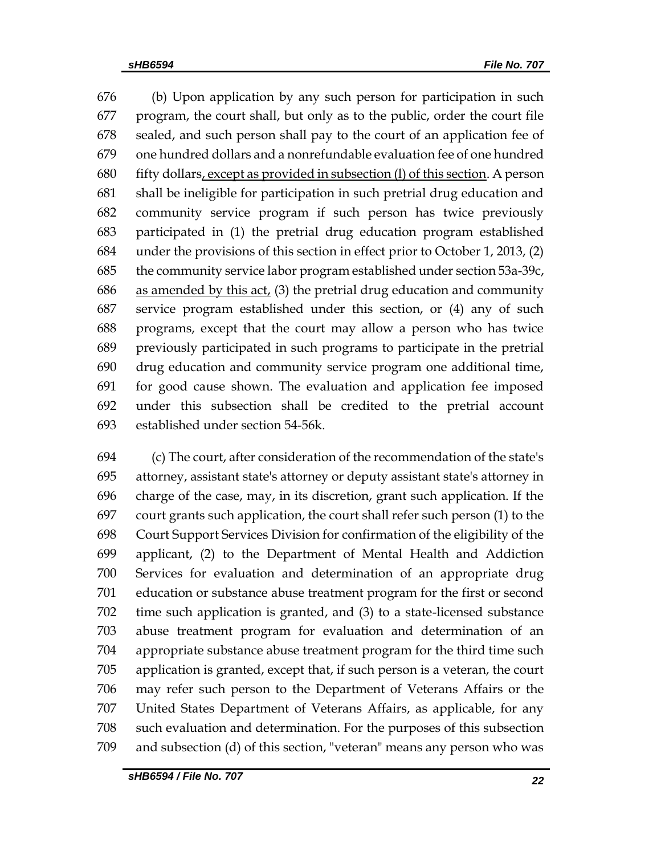(b) Upon application by any such person for participation in such program, the court shall, but only as to the public, order the court file sealed, and such person shall pay to the court of an application fee of one hundred dollars and a nonrefundable evaluation fee of one hundred fifty dollars, except as provided in subsection (l) of this section. A person shall be ineligible for participation in such pretrial drug education and community service program if such person has twice previously participated in (1) the pretrial drug education program established under the provisions of this section in effect prior to October 1, 2013, (2) the community service labor program established under section 53a-39c, 686 as amended by this  $act<sub>l</sub>$  (3) the pretrial drug education and community service program established under this section, or (4) any of such programs, except that the court may allow a person who has twice previously participated in such programs to participate in the pretrial drug education and community service program one additional time, for good cause shown. The evaluation and application fee imposed under this subsection shall be credited to the pretrial account established under section 54-56k.

 (c) The court, after consideration of the recommendation of the state's attorney, assistant state's attorney or deputy assistant state's attorney in charge of the case, may, in its discretion, grant such application. If the court grants such application, the court shall refer such person (1) to the Court Support Services Division for confirmation of the eligibility of the applicant, (2) to the Department of Mental Health and Addiction Services for evaluation and determination of an appropriate drug education or substance abuse treatment program for the first or second time such application is granted, and (3) to a state-licensed substance abuse treatment program for evaluation and determination of an appropriate substance abuse treatment program for the third time such application is granted, except that, if such person is a veteran, the court may refer such person to the Department of Veterans Affairs or the United States Department of Veterans Affairs, as applicable, for any such evaluation and determination. For the purposes of this subsection and subsection (d) of this section, "veteran" means any person who was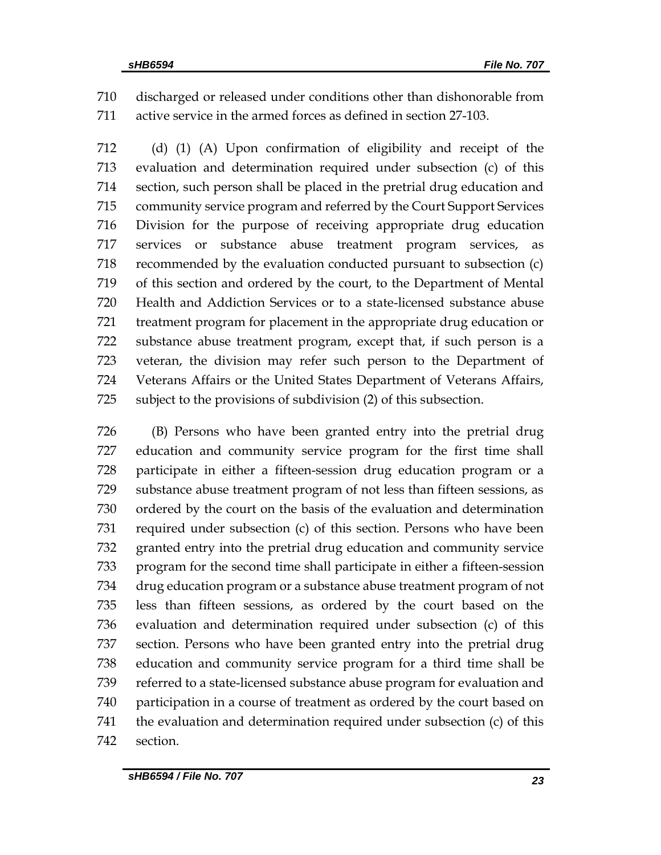discharged or released under conditions other than dishonorable from active service in the armed forces as defined in section 27-103.

 (d) (1) (A) Upon confirmation of eligibility and receipt of the evaluation and determination required under subsection (c) of this section, such person shall be placed in the pretrial drug education and community service program and referred by the Court Support Services Division for the purpose of receiving appropriate drug education services or substance abuse treatment program services, as recommended by the evaluation conducted pursuant to subsection (c) of this section and ordered by the court, to the Department of Mental Health and Addiction Services or to a state-licensed substance abuse treatment program for placement in the appropriate drug education or substance abuse treatment program, except that, if such person is a veteran, the division may refer such person to the Department of Veterans Affairs or the United States Department of Veterans Affairs, subject to the provisions of subdivision (2) of this subsection.

 (B) Persons who have been granted entry into the pretrial drug education and community service program for the first time shall participate in either a fifteen-session drug education program or a substance abuse treatment program of not less than fifteen sessions, as ordered by the court on the basis of the evaluation and determination required under subsection (c) of this section. Persons who have been granted entry into the pretrial drug education and community service program for the second time shall participate in either a fifteen-session drug education program or a substance abuse treatment program of not less than fifteen sessions, as ordered by the court based on the evaluation and determination required under subsection (c) of this section. Persons who have been granted entry into the pretrial drug education and community service program for a third time shall be referred to a state-licensed substance abuse program for evaluation and participation in a course of treatment as ordered by the court based on the evaluation and determination required under subsection (c) of this section.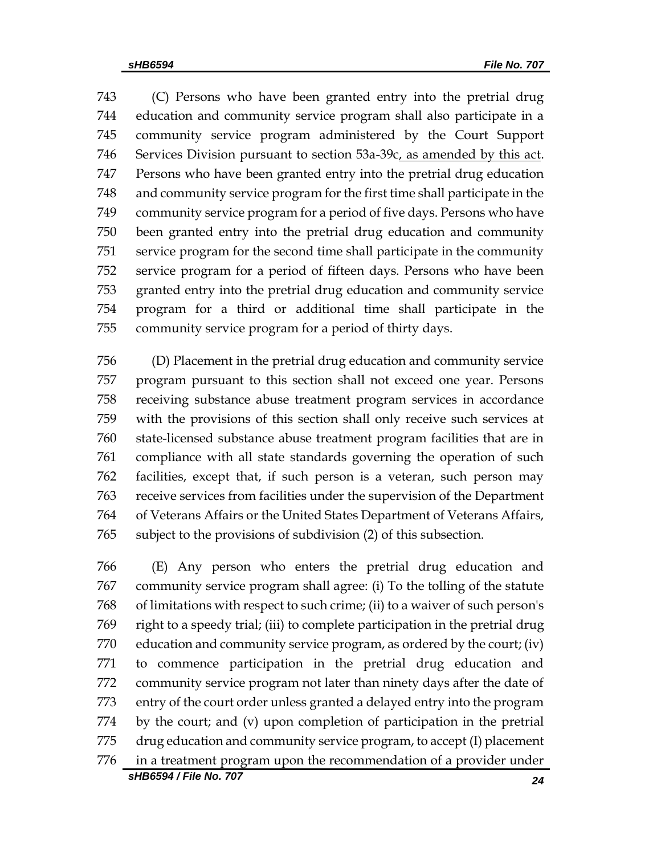(C) Persons who have been granted entry into the pretrial drug education and community service program shall also participate in a community service program administered by the Court Support Services Division pursuant to section 53a-39c, as amended by this act. Persons who have been granted entry into the pretrial drug education and community service program for the first time shall participate in the community service program for a period of five days. Persons who have been granted entry into the pretrial drug education and community service program for the second time shall participate in the community service program for a period of fifteen days. Persons who have been granted entry into the pretrial drug education and community service program for a third or additional time shall participate in the community service program for a period of thirty days.

 (D) Placement in the pretrial drug education and community service program pursuant to this section shall not exceed one year. Persons receiving substance abuse treatment program services in accordance with the provisions of this section shall only receive such services at state-licensed substance abuse treatment program facilities that are in compliance with all state standards governing the operation of such facilities, except that, if such person is a veteran, such person may receive services from facilities under the supervision of the Department of Veterans Affairs or the United States Department of Veterans Affairs, subject to the provisions of subdivision (2) of this subsection.

 (E) Any person who enters the pretrial drug education and community service program shall agree: (i) To the tolling of the statute of limitations with respect to such crime; (ii) to a waiver of such person's right to a speedy trial; (iii) to complete participation in the pretrial drug education and community service program, as ordered by the court; (iv) to commence participation in the pretrial drug education and community service program not later than ninety days after the date of entry of the court order unless granted a delayed entry into the program by the court; and (v) upon completion of participation in the pretrial drug education and community service program, to accept (I) placement in a treatment program upon the recommendation of a provider under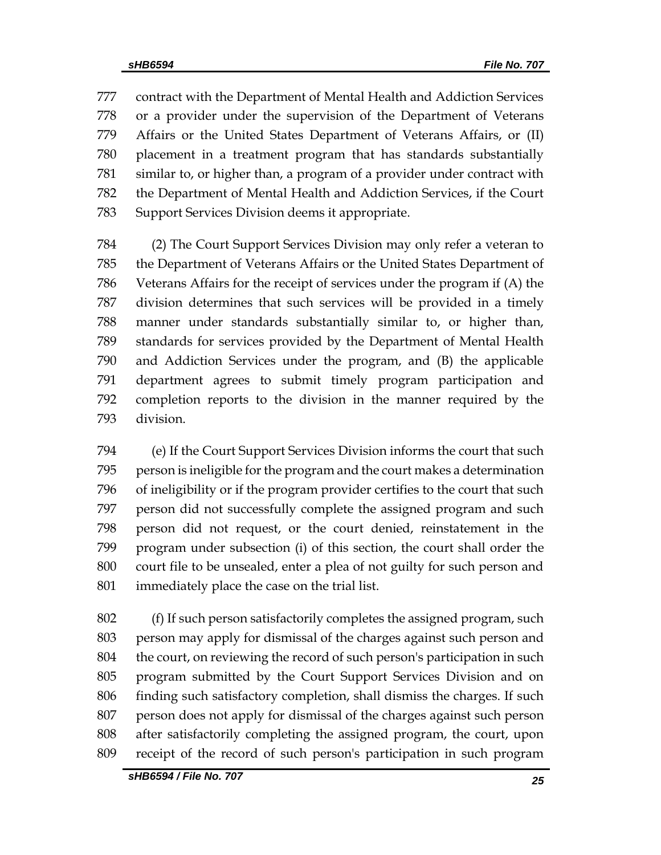contract with the Department of Mental Health and Addiction Services or a provider under the supervision of the Department of Veterans Affairs or the United States Department of Veterans Affairs, or (II) placement in a treatment program that has standards substantially similar to, or higher than, a program of a provider under contract with the Department of Mental Health and Addiction Services, if the Court Support Services Division deems it appropriate.

 (2) The Court Support Services Division may only refer a veteran to the Department of Veterans Affairs or the United States Department of Veterans Affairs for the receipt of services under the program if (A) the division determines that such services will be provided in a timely manner under standards substantially similar to, or higher than, standards for services provided by the Department of Mental Health and Addiction Services under the program, and (B) the applicable department agrees to submit timely program participation and completion reports to the division in the manner required by the division.

 (e) If the Court Support Services Division informs the court that such person is ineligible for the program and the court makes a determination of ineligibility or if the program provider certifies to the court that such person did not successfully complete the assigned program and such person did not request, or the court denied, reinstatement in the program under subsection (i) of this section, the court shall order the court file to be unsealed, enter a plea of not guilty for such person and immediately place the case on the trial list.

 (f) If such person satisfactorily completes the assigned program, such person may apply for dismissal of the charges against such person and 804 the court, on reviewing the record of such person's participation in such program submitted by the Court Support Services Division and on finding such satisfactory completion, shall dismiss the charges. If such person does not apply for dismissal of the charges against such person after satisfactorily completing the assigned program, the court, upon receipt of the record of such person's participation in such program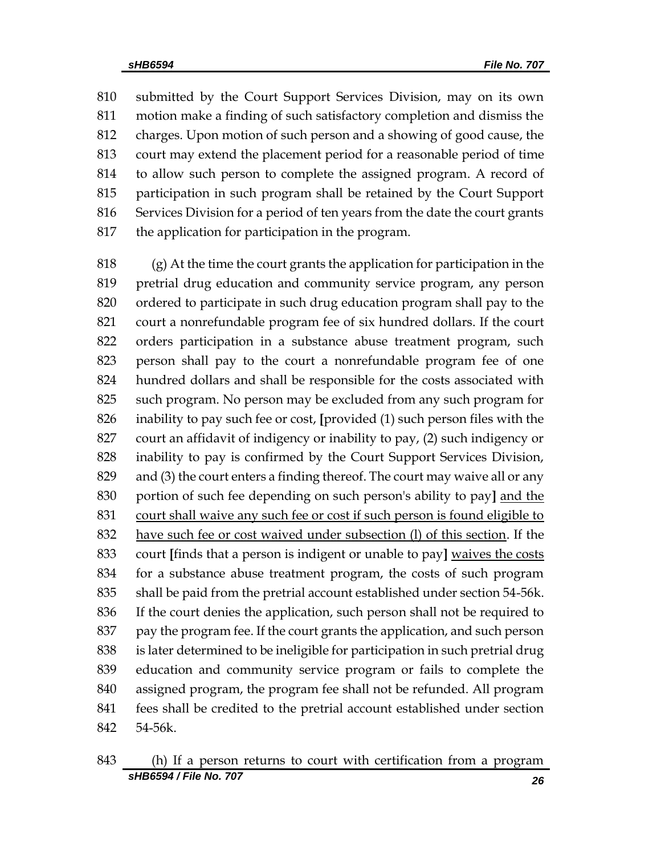submitted by the Court Support Services Division, may on its own motion make a finding of such satisfactory completion and dismiss the charges. Upon motion of such person and a showing of good cause, the court may extend the placement period for a reasonable period of time to allow such person to complete the assigned program. A record of participation in such program shall be retained by the Court Support Services Division for a period of ten years from the date the court grants the application for participation in the program.

 (g) At the time the court grants the application for participation in the pretrial drug education and community service program, any person ordered to participate in such drug education program shall pay to the court a nonrefundable program fee of six hundred dollars. If the court orders participation in a substance abuse treatment program, such person shall pay to the court a nonrefundable program fee of one hundred dollars and shall be responsible for the costs associated with such program. No person may be excluded from any such program for inability to pay such fee or cost, **[**provided (1) such person files with the court an affidavit of indigency or inability to pay, (2) such indigency or inability to pay is confirmed by the Court Support Services Division, and (3) the court enters a finding thereof. The court may waive all or any portion of such fee depending on such person's ability to pay**]** and the court shall waive any such fee or cost if such person is found eligible to 832 have such fee or cost waived under subsection (1) of this section. If the court **[**finds that a person is indigent or unable to pay**]** waives the costs for a substance abuse treatment program, the costs of such program shall be paid from the pretrial account established under section 54-56k. If the court denies the application, such person shall not be required to pay the program fee. If the court grants the application, and such person is later determined to be ineligible for participation in such pretrial drug education and community service program or fails to complete the assigned program, the program fee shall not be refunded. All program fees shall be credited to the pretrial account established under section 54-56k.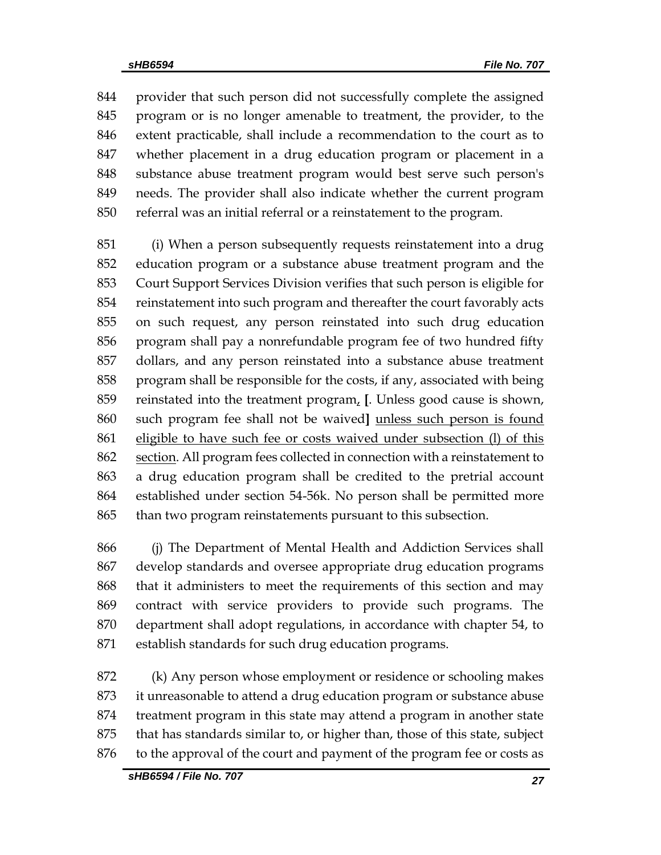provider that such person did not successfully complete the assigned program or is no longer amenable to treatment, the provider, to the extent practicable, shall include a recommendation to the court as to whether placement in a drug education program or placement in a substance abuse treatment program would best serve such person's needs. The provider shall also indicate whether the current program referral was an initial referral or a reinstatement to the program.

 (i) When a person subsequently requests reinstatement into a drug education program or a substance abuse treatment program and the Court Support Services Division verifies that such person is eligible for reinstatement into such program and thereafter the court favorably acts on such request, any person reinstated into such drug education program shall pay a nonrefundable program fee of two hundred fifty dollars, and any person reinstated into a substance abuse treatment program shall be responsible for the costs, if any, associated with being reinstated into the treatment program, **[**. Unless good cause is shown, such program fee shall not be waived**]** unless such person is found eligible to have such fee or costs waived under subsection (l) of this section. All program fees collected in connection with a reinstatement to a drug education program shall be credited to the pretrial account established under section 54-56k. No person shall be permitted more than two program reinstatements pursuant to this subsection.

 (j) The Department of Mental Health and Addiction Services shall develop standards and oversee appropriate drug education programs that it administers to meet the requirements of this section and may contract with service providers to provide such programs. The department shall adopt regulations, in accordance with chapter 54, to establish standards for such drug education programs.

 (k) Any person whose employment or residence or schooling makes it unreasonable to attend a drug education program or substance abuse treatment program in this state may attend a program in another state that has standards similar to, or higher than, those of this state, subject to the approval of the court and payment of the program fee or costs as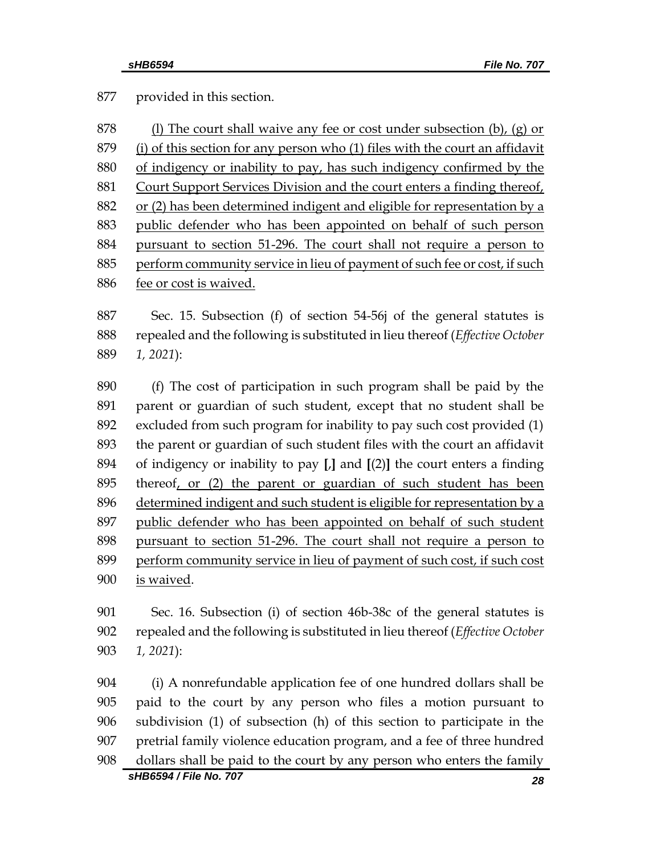provided in this section.

| 878 | (1) The court shall waive any fee or cost under subsection (b), (g) or       |
|-----|------------------------------------------------------------------------------|
| 879 | (i) of this section for any person who (1) files with the court an affidavit |
| 880 | of indigency or inability to pay, has such indigency confirmed by the        |
| 881 | Court Support Services Division and the court enters a finding thereof,      |
| 882 | or (2) has been determined indigent and eligible for representation by a     |
| 883 | public defender who has been appointed on behalf of such person              |
| 884 | pursuant to section 51-296. The court shall not require a person to          |
| 885 | perform community service in lieu of payment of such fee or cost, if such    |
| 886 | fee or cost is waived.                                                       |

 Sec. 15. Subsection (f) of section 54-56j of the general statutes is repealed and the following is substituted in lieu thereof (*Effective October 1, 2021*):

 (f) The cost of participation in such program shall be paid by the parent or guardian of such student, except that no student shall be excluded from such program for inability to pay such cost provided (1) the parent or guardian of such student files with the court an affidavit of indigency or inability to pay **[**,**]** and **[**(2)**]** the court enters a finding thereof, or (2) the parent or guardian of such student has been determined indigent and such student is eligible for representation by a public defender who has been appointed on behalf of such student pursuant to section 51-296. The court shall not require a person to perform community service in lieu of payment of such cost, if such cost is waived.

 Sec. 16. Subsection (i) of section 46b-38c of the general statutes is repealed and the following is substituted in lieu thereof (*Effective October 1, 2021*):

 (i) A nonrefundable application fee of one hundred dollars shall be paid to the court by any person who files a motion pursuant to subdivision (1) of subsection (h) of this section to participate in the pretrial family violence education program, and a fee of three hundred dollars shall be paid to the court by any person who enters the family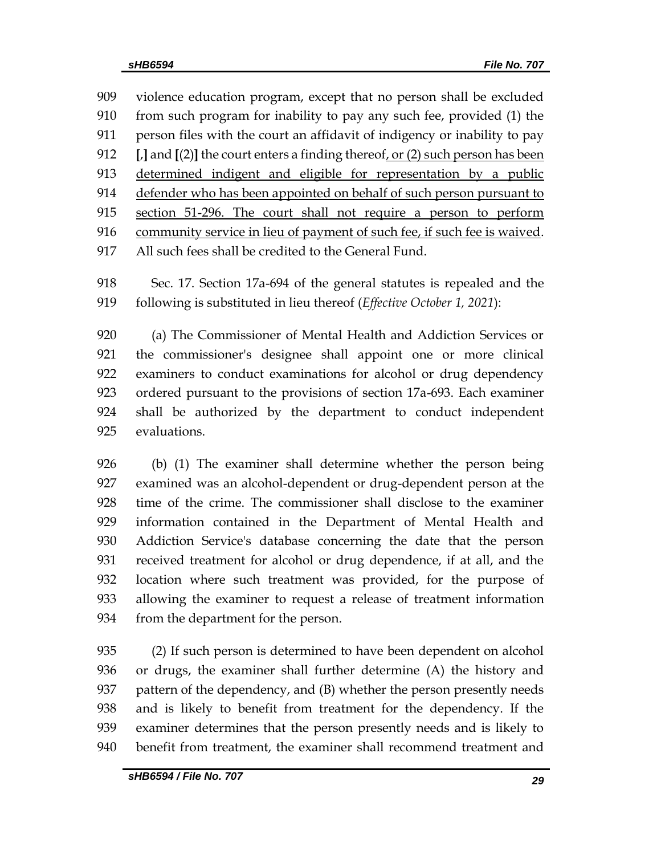violence education program, except that no person shall be excluded from such program for inability to pay any such fee, provided (1) the person files with the court an affidavit of indigency or inability to pay **[**,**]** and **[**(2)**]** the court enters a finding thereof, or (2) such person has been determined indigent and eligible for representation by a public defender who has been appointed on behalf of such person pursuant to section 51-296. The court shall not require a person to perform community service in lieu of payment of such fee, if such fee is waived. All such fees shall be credited to the General Fund.

 Sec. 17. Section 17a-694 of the general statutes is repealed and the following is substituted in lieu thereof (*Effective October 1, 2021*):

 (a) The Commissioner of Mental Health and Addiction Services or the commissioner's designee shall appoint one or more clinical examiners to conduct examinations for alcohol or drug dependency ordered pursuant to the provisions of section 17a-693. Each examiner shall be authorized by the department to conduct independent evaluations.

 (b) (1) The examiner shall determine whether the person being examined was an alcohol-dependent or drug-dependent person at the time of the crime. The commissioner shall disclose to the examiner information contained in the Department of Mental Health and Addiction Service's database concerning the date that the person received treatment for alcohol or drug dependence, if at all, and the location where such treatment was provided, for the purpose of allowing the examiner to request a release of treatment information from the department for the person.

 (2) If such person is determined to have been dependent on alcohol or drugs, the examiner shall further determine (A) the history and pattern of the dependency, and (B) whether the person presently needs and is likely to benefit from treatment for the dependency. If the examiner determines that the person presently needs and is likely to benefit from treatment, the examiner shall recommend treatment and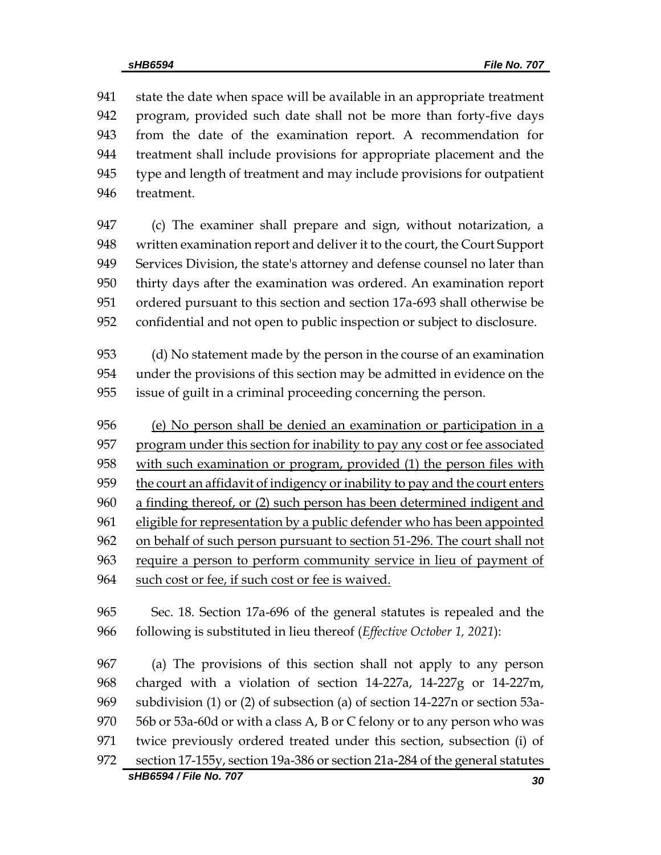state the date when space will be available in an appropriate treatment program, provided such date shall not be more than forty-five days from the date of the examination report. A recommendation for treatment shall include provisions for appropriate placement and the type and length of treatment and may include provisions for outpatient treatment.

 (c) The examiner shall prepare and sign, without notarization, a written examination report and deliver it to the court, the Court Support Services Division, the state's attorney and defense counsel no later than thirty days after the examination was ordered. An examination report ordered pursuant to this section and section 17a-693 shall otherwise be confidential and not open to public inspection or subject to disclosure.

 (d) No statement made by the person in the course of an examination under the provisions of this section may be admitted in evidence on the issue of guilt in a criminal proceeding concerning the person.

 (e) No person shall be denied an examination or participation in a 957 program under this section for inability to pay any cost or fee associated with such examination or program, provided (1) the person files with the court an affidavit of indigency or inability to pay and the court enters a finding thereof, or (2) such person has been determined indigent and eligible for representation by a public defender who has been appointed on behalf of such person pursuant to section 51-296. The court shall not require a person to perform community service in lieu of payment of such cost or fee, if such cost or fee is waived.

 Sec. 18. Section 17a-696 of the general statutes is repealed and the following is substituted in lieu thereof (*Effective October 1, 2021*):

*sHB6594 / File No. 707 30* (a) The provisions of this section shall not apply to any person charged with a violation of section 14-227a, 14-227g or 14-227m, subdivision (1) or (2) of subsection (a) of section 14-227n or section 53a- 56b or 53a-60d or with a class A, B or C felony or to any person who was twice previously ordered treated under this section, subsection (i) of section 17-155y, section 19a-386 or section 21a-284 of the general statutes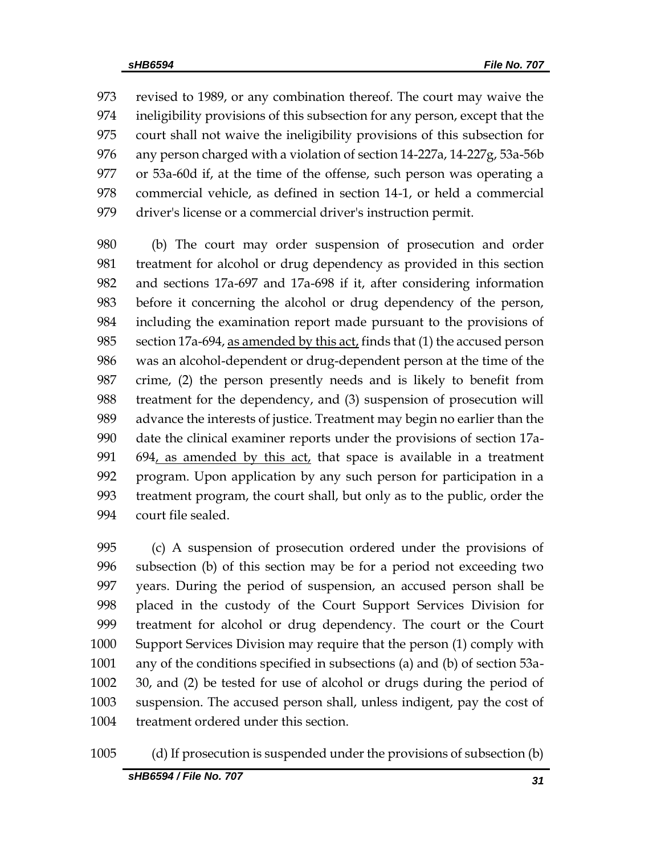revised to 1989, or any combination thereof. The court may waive the ineligibility provisions of this subsection for any person, except that the court shall not waive the ineligibility provisions of this subsection for any person charged with a violation of section 14-227a, 14-227g, 53a-56b or 53a-60d if, at the time of the offense, such person was operating a commercial vehicle, as defined in section 14-1, or held a commercial driver's license or a commercial driver's instruction permit.

 (b) The court may order suspension of prosecution and order treatment for alcohol or drug dependency as provided in this section and sections 17a-697 and 17a-698 if it, after considering information before it concerning the alcohol or drug dependency of the person, including the examination report made pursuant to the provisions of 985 section 17a-694, as amended by this act, finds that  $(1)$  the accused person was an alcohol-dependent or drug-dependent person at the time of the crime, (2) the person presently needs and is likely to benefit from treatment for the dependency, and (3) suspension of prosecution will advance the interests of justice. Treatment may begin no earlier than the date the clinical examiner reports under the provisions of section 17a- 694, as amended by this act, that space is available in a treatment program. Upon application by any such person for participation in a treatment program, the court shall, but only as to the public, order the court file sealed.

 (c) A suspension of prosecution ordered under the provisions of subsection (b) of this section may be for a period not exceeding two years. During the period of suspension, an accused person shall be placed in the custody of the Court Support Services Division for treatment for alcohol or drug dependency. The court or the Court Support Services Division may require that the person (1) comply with any of the conditions specified in subsections (a) and (b) of section 53a- 30, and (2) be tested for use of alcohol or drugs during the period of suspension. The accused person shall, unless indigent, pay the cost of treatment ordered under this section.

(d) If prosecution is suspended under the provisions of subsection (b)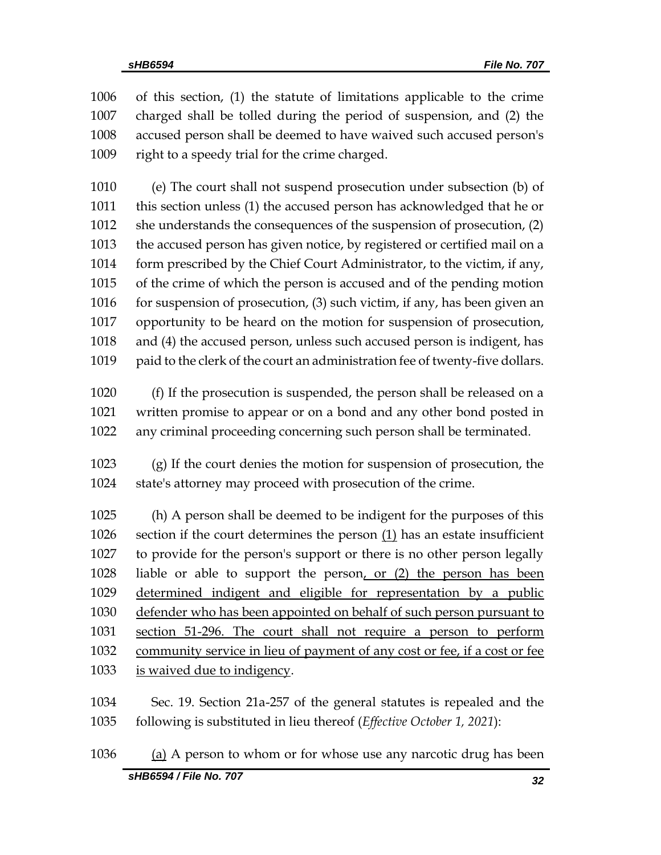of this section, (1) the statute of limitations applicable to the crime charged shall be tolled during the period of suspension, and (2) the accused person shall be deemed to have waived such accused person's right to a speedy trial for the crime charged.

 (e) The court shall not suspend prosecution under subsection (b) of this section unless (1) the accused person has acknowledged that he or she understands the consequences of the suspension of prosecution, (2) the accused person has given notice, by registered or certified mail on a form prescribed by the Chief Court Administrator, to the victim, if any, of the crime of which the person is accused and of the pending motion for suspension of prosecution, (3) such victim, if any, has been given an opportunity to be heard on the motion for suspension of prosecution, and (4) the accused person, unless such accused person is indigent, has paid to the clerk of the court an administration fee of twenty-five dollars.

 (f) If the prosecution is suspended, the person shall be released on a written promise to appear or on a bond and any other bond posted in any criminal proceeding concerning such person shall be terminated.

 (g) If the court denies the motion for suspension of prosecution, the state's attorney may proceed with prosecution of the crime.

 (h) A person shall be deemed to be indigent for the purposes of this section if the court determines the person (1) has an estate insufficient to provide for the person's support or there is no other person legally liable or able to support the person, or (2) the person has been determined indigent and eligible for representation by a public defender who has been appointed on behalf of such person pursuant to section 51-296. The court shall not require a person to perform community service in lieu of payment of any cost or fee, if a cost or fee 1033 is waived due to indigency.

 Sec. 19. Section 21a-257 of the general statutes is repealed and the following is substituted in lieu thereof (*Effective October 1, 2021*):

*sHB6594 / File No. 707 32* (a) A person to whom or for whose use any narcotic drug has been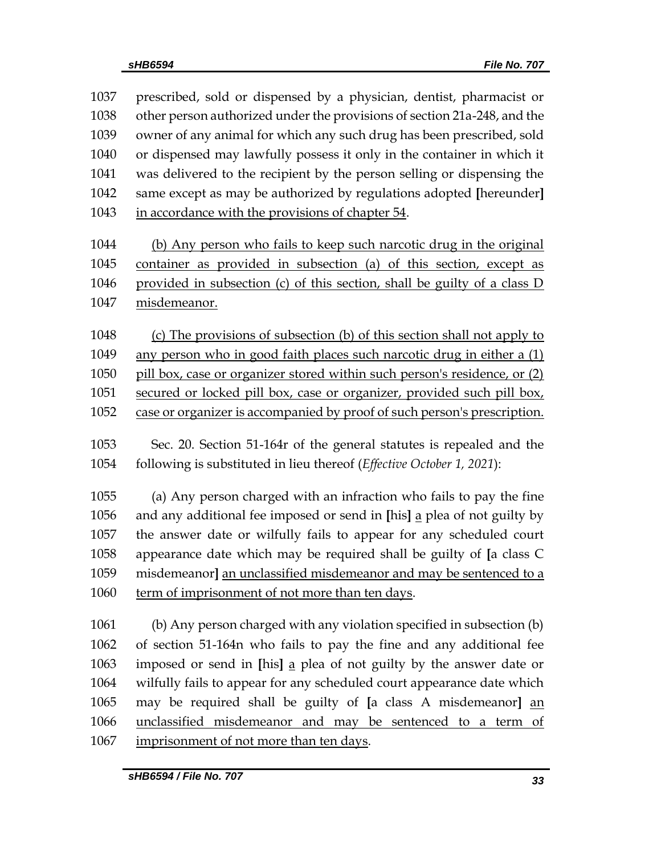| 1037 | prescribed, sold or dispensed by a physician, dentist, pharmacist or      |
|------|---------------------------------------------------------------------------|
| 1038 | other person authorized under the provisions of section 21a-248, and the  |
| 1039 | owner of any animal for which any such drug has been prescribed, sold     |
| 1040 | or dispensed may lawfully possess it only in the container in which it    |
| 1041 | was delivered to the recipient by the person selling or dispensing the    |
| 1042 | same except as may be authorized by regulations adopted [hereunder]       |
| 1043 | in accordance with the provisions of chapter 54.                          |
|      |                                                                           |
| 1044 | (b) Any person who fails to keep such narcotic drug in the original       |
| 1045 | container as provided in subsection (a) of this section, except as        |
| 1046 | provided in subsection (c) of this section, shall be guilty of a class D  |
| 1047 | misdemeanor.                                                              |
| 1048 | (c) The provisions of subsection (b) of this section shall not apply to   |
| 1049 | any person who in good faith places such narcotic drug in either a (1)    |
| 1050 | pill box, case or organizer stored within such person's residence, or (2) |
| 1051 | secured or locked pill box, case or organizer, provided such pill box,    |
| 1052 |                                                                           |
|      | case or organizer is accompanied by proof of such person's prescription.  |
| 1053 | Sec. 20. Section 51-164r of the general statutes is repealed and the      |
| 1054 | following is substituted in lieu thereof (Effective October 1, 2021):     |
| 1055 | (a) Any person charged with an infraction who fails to pay the fine       |
| 1056 | and any additional fee imposed or send in [his] a plea of not guilty by   |
| 1057 | the answer date or wilfully fails to appear for any scheduled court       |
| 1058 | appearance date which may be required shall be guilty of [a class C       |
| 1059 | misdemeanor] an unclassified misdemeanor and may be sentenced to a        |
| 1060 | term of imprisonment of not more than ten days.                           |
| 1061 |                                                                           |
| 1062 | (b) Any person charged with any violation specified in subsection (b)     |
|      | of section 51-164n who fails to pay the fine and any additional fee       |
| 1063 | imposed or send in [his] a plea of not guilty by the answer date or       |
| 1064 | wilfully fails to appear for any scheduled court appearance date which    |
| 1065 | may be required shall be guilty of [a class A misdemeanor] an             |
| 1066 | unclassified misdemeanor and may be sentenced to a term of                |
| 1067 | imprisonment of not more than ten days.                                   |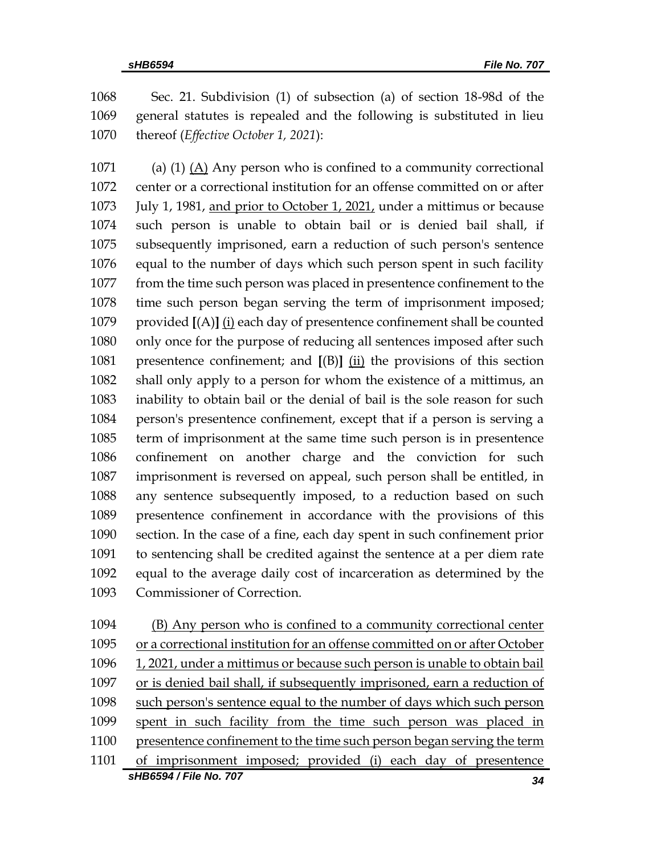Sec. 21. Subdivision (1) of subsection (a) of section 18-98d of the general statutes is repealed and the following is substituted in lieu thereof (*Effective October 1, 2021*):

 (a) (1) (A) Any person who is confined to a community correctional center or a correctional institution for an offense committed on or after July 1, 1981, and prior to October 1, 2021, under a mittimus or because such person is unable to obtain bail or is denied bail shall, if subsequently imprisoned, earn a reduction of such person's sentence equal to the number of days which such person spent in such facility from the time such person was placed in presentence confinement to the time such person began serving the term of imprisonment imposed; provided **[**(A)**]** (i) each day of presentence confinement shall be counted only once for the purpose of reducing all sentences imposed after such presentence confinement; and **[**(B)**]** (ii) the provisions of this section shall only apply to a person for whom the existence of a mittimus, an inability to obtain bail or the denial of bail is the sole reason for such person's presentence confinement, except that if a person is serving a term of imprisonment at the same time such person is in presentence confinement on another charge and the conviction for such imprisonment is reversed on appeal, such person shall be entitled, in any sentence subsequently imposed, to a reduction based on such presentence confinement in accordance with the provisions of this section. In the case of a fine, each day spent in such confinement prior to sentencing shall be credited against the sentence at a per diem rate equal to the average daily cost of incarceration as determined by the Commissioner of Correction.

*sHB6594 / File No. 707 34* (B) Any person who is confined to a community correctional center or a correctional institution for an offense committed on or after October 1096 1, 2021, under a mittimus or because such person is unable to obtain bail or is denied bail shall, if subsequently imprisoned, earn a reduction of such person's sentence equal to the number of days which such person spent in such facility from the time such person was placed in presentence confinement to the time such person began serving the term of imprisonment imposed; provided (i) each day of presentence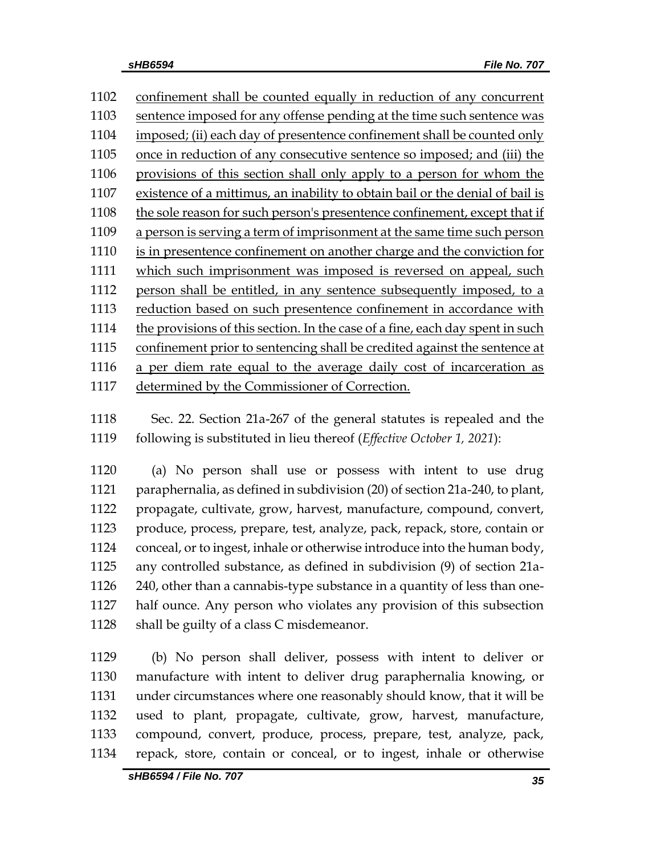confinement shall be counted equally in reduction of any concurrent 1103 sentence imposed for any offense pending at the time such sentence was imposed; (ii) each day of presentence confinement shall be counted only once in reduction of any consecutive sentence so imposed; and (iii) the provisions of this section shall only apply to a person for whom the existence of a mittimus, an inability to obtain bail or the denial of bail is the sole reason for such person's presentence confinement, except that if a person is serving a term of imprisonment at the same time such person is in presentence confinement on another charge and the conviction for which such imprisonment was imposed is reversed on appeal, such 1112 person shall be entitled, in any sentence subsequently imposed, to a reduction based on such presentence confinement in accordance with the provisions of this section. In the case of a fine, each day spent in such confinement prior to sentencing shall be credited against the sentence at a per diem rate equal to the average daily cost of incarceration as determined by the Commissioner of Correction.

 Sec. 22. Section 21a-267 of the general statutes is repealed and the following is substituted in lieu thereof (*Effective October 1, 2021*):

 (a) No person shall use or possess with intent to use drug paraphernalia, as defined in subdivision (20) of section 21a-240, to plant, propagate, cultivate, grow, harvest, manufacture, compound, convert, produce, process, prepare, test, analyze, pack, repack, store, contain or conceal, or to ingest, inhale or otherwise introduce into the human body, any controlled substance, as defined in subdivision (9) of section 21a- 240, other than a cannabis-type substance in a quantity of less than one- half ounce. Any person who violates any provision of this subsection 1128 shall be guilty of a class C misdemeanor.

 (b) No person shall deliver, possess with intent to deliver or manufacture with intent to deliver drug paraphernalia knowing, or under circumstances where one reasonably should know, that it will be used to plant, propagate, cultivate, grow, harvest, manufacture, compound, convert, produce, process, prepare, test, analyze, pack, repack, store, contain or conceal, or to ingest, inhale or otherwise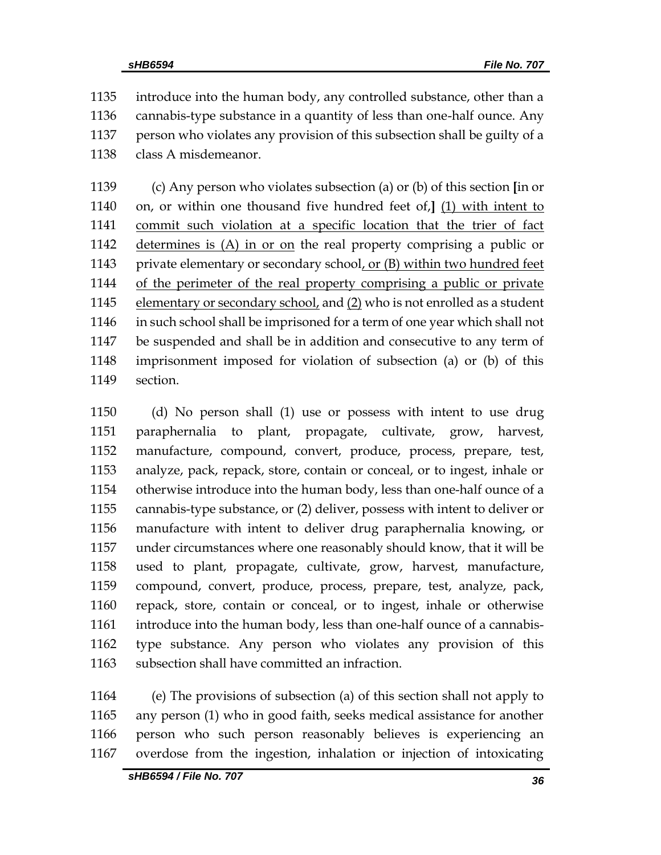introduce into the human body, any controlled substance, other than a cannabis-type substance in a quantity of less than one-half ounce. Any person who violates any provision of this subsection shall be guilty of a class A misdemeanor.

 (c) Any person who violates subsection (a) or (b) of this section **[**in or on, or within one thousand five hundred feet of,**]** (1) with intent to commit such violation at a specific location that the trier of fact determines is (A) in or on the real property comprising a public or private elementary or secondary school, or (B) within two hundred feet of the perimeter of the real property comprising a public or private elementary or secondary school, and (2) who is not enrolled as a student in such school shall be imprisoned for a term of one year which shall not be suspended and shall be in addition and consecutive to any term of imprisonment imposed for violation of subsection (a) or (b) of this section.

 (d) No person shall (1) use or possess with intent to use drug paraphernalia to plant, propagate, cultivate, grow, harvest, manufacture, compound, convert, produce, process, prepare, test, analyze, pack, repack, store, contain or conceal, or to ingest, inhale or otherwise introduce into the human body, less than one-half ounce of a cannabis-type substance, or (2) deliver, possess with intent to deliver or manufacture with intent to deliver drug paraphernalia knowing, or under circumstances where one reasonably should know, that it will be used to plant, propagate, cultivate, grow, harvest, manufacture, compound, convert, produce, process, prepare, test, analyze, pack, repack, store, contain or conceal, or to ingest, inhale or otherwise introduce into the human body, less than one-half ounce of a cannabis- type substance. Any person who violates any provision of this subsection shall have committed an infraction.

 (e) The provisions of subsection (a) of this section shall not apply to any person (1) who in good faith, seeks medical assistance for another person who such person reasonably believes is experiencing an overdose from the ingestion, inhalation or injection of intoxicating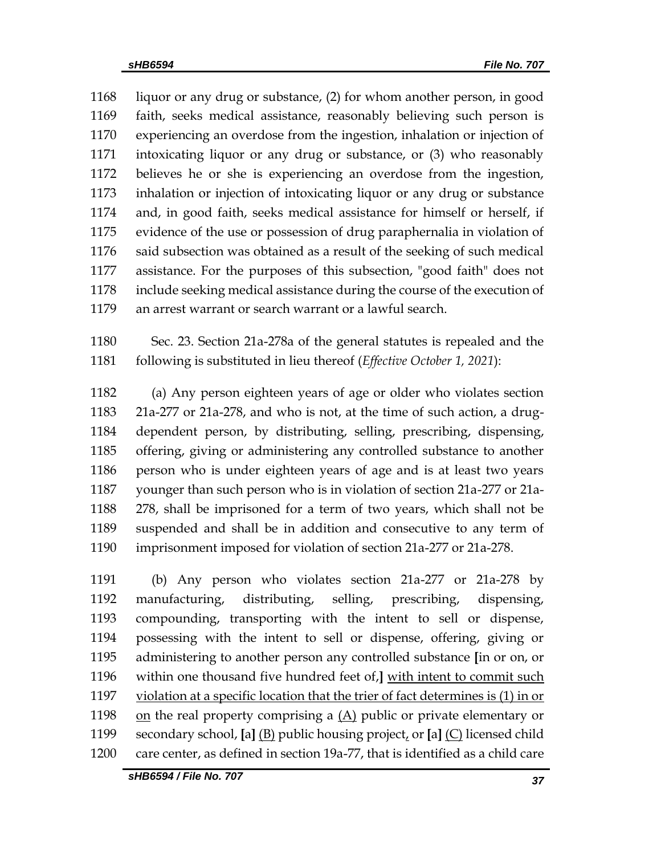liquor or any drug or substance, (2) for whom another person, in good faith, seeks medical assistance, reasonably believing such person is experiencing an overdose from the ingestion, inhalation or injection of intoxicating liquor or any drug or substance, or (3) who reasonably believes he or she is experiencing an overdose from the ingestion, inhalation or injection of intoxicating liquor or any drug or substance and, in good faith, seeks medical assistance for himself or herself, if evidence of the use or possession of drug paraphernalia in violation of said subsection was obtained as a result of the seeking of such medical assistance. For the purposes of this subsection, "good faith" does not include seeking medical assistance during the course of the execution of an arrest warrant or search warrant or a lawful search.

 Sec. 23. Section 21a-278a of the general statutes is repealed and the following is substituted in lieu thereof (*Effective October 1, 2021*):

 (a) Any person eighteen years of age or older who violates section 21a-277 or 21a-278, and who is not, at the time of such action, a drug- dependent person, by distributing, selling, prescribing, dispensing, offering, giving or administering any controlled substance to another person who is under eighteen years of age and is at least two years younger than such person who is in violation of section 21a-277 or 21a- 278, shall be imprisoned for a term of two years, which shall not be suspended and shall be in addition and consecutive to any term of imprisonment imposed for violation of section 21a-277 or 21a-278.

 (b) Any person who violates section 21a-277 or 21a-278 by manufacturing, distributing, selling, prescribing, dispensing, compounding, transporting with the intent to sell or dispense, possessing with the intent to sell or dispense, offering, giving or administering to another person any controlled substance **[**in or on, or within one thousand five hundred feet of,**]** with intent to commit such violation at a specific location that the trier of fact determines is (1) in or 1198 on the real property comprising a  $(A)$  public or private elementary or secondary school, **[**a**]** (B) public housing project, or **[**a**]** (C) licensed child care center, as defined in section 19a-77, that is identified as a child care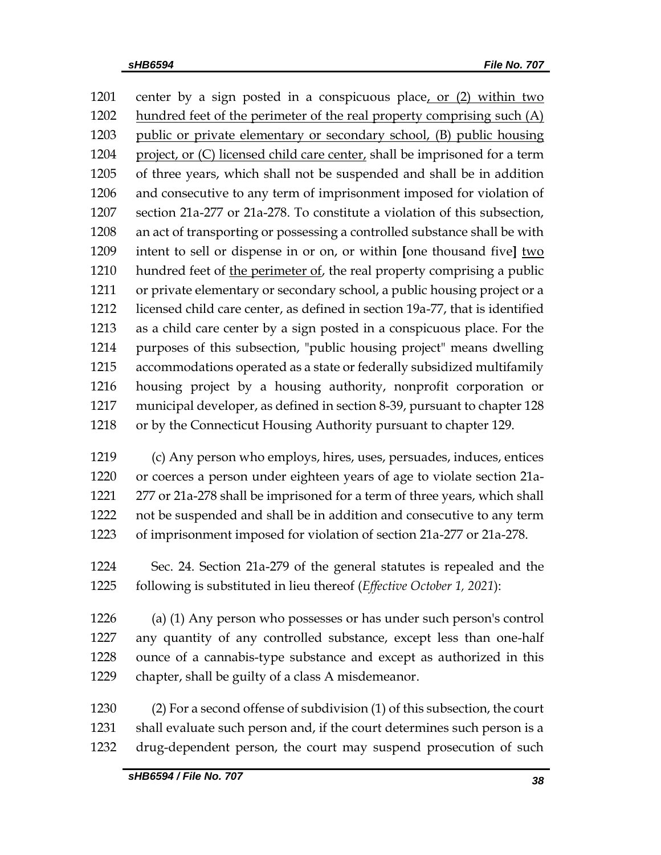center by a sign posted in a conspicuous place, or (2) within two 1202 hundred feet of the perimeter of the real property comprising such (A) public or private elementary or secondary school, (B) public housing project, or (C) licensed child care center, shall be imprisoned for a term of three years, which shall not be suspended and shall be in addition and consecutive to any term of imprisonment imposed for violation of section 21a-277 or 21a-278. To constitute a violation of this subsection, an act of transporting or possessing a controlled substance shall be with intent to sell or dispense in or on, or within **[**one thousand five**]** two 1210 hundred feet of the perimeter of, the real property comprising a public or private elementary or secondary school, a public housing project or a licensed child care center, as defined in section 19a-77, that is identified as a child care center by a sign posted in a conspicuous place. For the purposes of this subsection, "public housing project" means dwelling accommodations operated as a state or federally subsidized multifamily housing project by a housing authority, nonprofit corporation or municipal developer, as defined in section 8-39, pursuant to chapter 128 or by the Connecticut Housing Authority pursuant to chapter 129. (c) Any person who employs, hires, uses, persuades, induces, entices or coerces a person under eighteen years of age to violate section 21a- 277 or 21a-278 shall be imprisoned for a term of three years, which shall not be suspended and shall be in addition and consecutive to any term of imprisonment imposed for violation of section 21a-277 or 21a-278.

 Sec. 24. Section 21a-279 of the general statutes is repealed and the following is substituted in lieu thereof (*Effective October 1, 2021*):

 (a) (1) Any person who possesses or has under such person's control any quantity of any controlled substance, except less than one-half ounce of a cannabis-type substance and except as authorized in this chapter, shall be guilty of a class A misdemeanor.

 (2) For a second offense of subdivision (1) of this subsection, the court shall evaluate such person and, if the court determines such person is a drug-dependent person, the court may suspend prosecution of such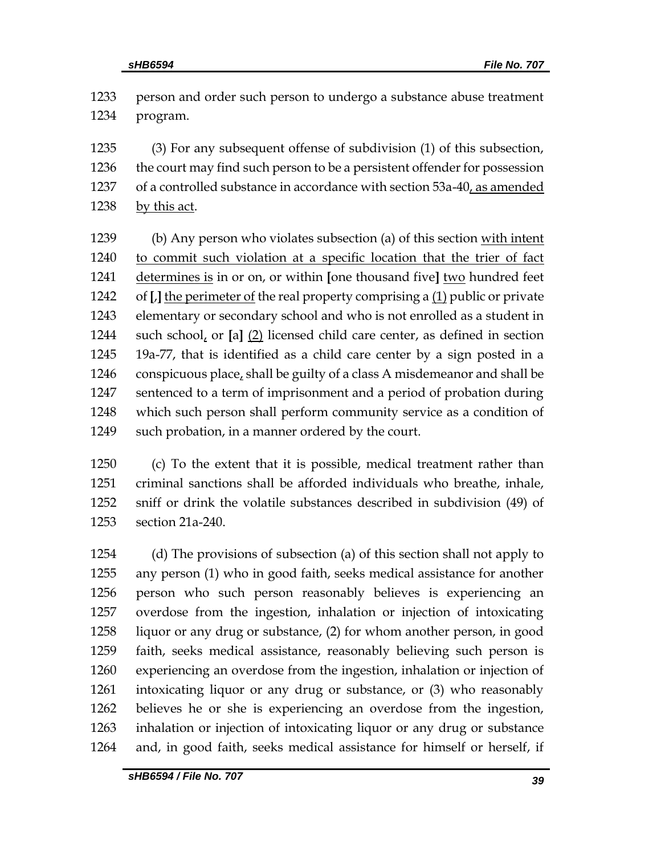| 1233 | person and order such person to undergo a substance abuse treatment              |
|------|----------------------------------------------------------------------------------|
| 1234 | program.                                                                         |
| 1235 | (3) For any subsequent offense of subdivision (1) of this subsection,            |
| 1236 | the court may find such person to be a persistent offender for possession        |
| 1237 | of a controlled substance in accordance with section 53a-40, as amended          |
| 1238 | by this act.                                                                     |
| 1239 | (b) Any person who violates subsection (a) of this section with intent           |
| 1240 | to commit such violation at a specific location that the trier of fact           |
| 1241 | determines is in or on, or within [one thousand five] two hundred feet           |
| 1242 | of $[J]$ the perimeter of the real property comprising a $(1)$ public or private |
| 1243 | elementary or secondary school and who is not enrolled as a student in           |
| 1244 | such school, or $[a]$ $(2)$ licensed child care center, as defined in section    |
| 1245 | 19a-77, that is identified as a child care center by a sign posted in a          |
| 1246 | conspicuous place, shall be guilty of a class A misdemeanor and shall be         |
| 1247 | sentenced to a term of imprisonment and a period of probation during             |
| 1248 | which such person shall perform community service as a condition of              |
| 1249 | such probation, in a manner ordered by the court.                                |
| 1250 | (c) To the extent that it is possible, medical treatment rather than             |
| 1251 | criminal sanctions shall be afforded individuals who breathe, inhale,            |

 criminal sanctions shall be afforded individuals who breathe, inhale, sniff or drink the volatile substances described in subdivision (49) of section 21a-240.

 (d) The provisions of subsection (a) of this section shall not apply to any person (1) who in good faith, seeks medical assistance for another person who such person reasonably believes is experiencing an overdose from the ingestion, inhalation or injection of intoxicating liquor or any drug or substance, (2) for whom another person, in good faith, seeks medical assistance, reasonably believing such person is experiencing an overdose from the ingestion, inhalation or injection of intoxicating liquor or any drug or substance, or (3) who reasonably believes he or she is experiencing an overdose from the ingestion, inhalation or injection of intoxicating liquor or any drug or substance and, in good faith, seeks medical assistance for himself or herself, if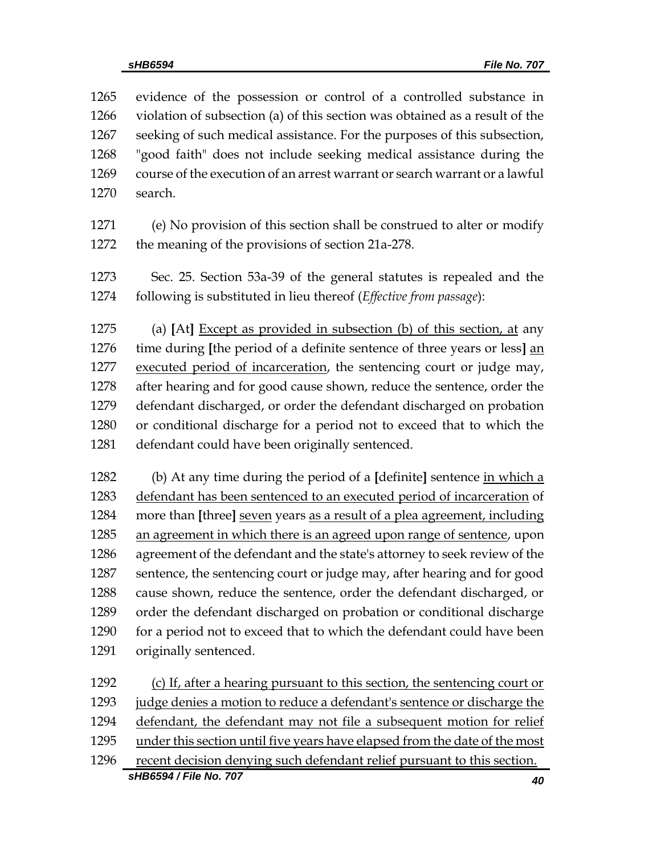evidence of the possession or control of a controlled substance in violation of subsection (a) of this section was obtained as a result of the seeking of such medical assistance. For the purposes of this subsection, "good faith" does not include seeking medical assistance during the course of the execution of an arrest warrant or search warrant or a lawful search.

- (e) No provision of this section shall be construed to alter or modify the meaning of the provisions of section 21a-278.
- Sec. 25. Section 53a-39 of the general statutes is repealed and the following is substituted in lieu thereof (*Effective from passage*):

 (a) **[**At**]** Except as provided in subsection (b) of this section, at any time during **[**the period of a definite sentence of three years or less**]** an 1277 executed period of incarceration, the sentencing court or judge may, after hearing and for good cause shown, reduce the sentence, order the defendant discharged, or order the defendant discharged on probation or conditional discharge for a period not to exceed that to which the defendant could have been originally sentenced.

 (b) At any time during the period of a **[**definite**]** sentence in which a 1283 defendant has been sentenced to an executed period of incarceration of more than **[**three**]** seven years as a result of a plea agreement, including an agreement in which there is an agreed upon range of sentence, upon agreement of the defendant and the state's attorney to seek review of the sentence, the sentencing court or judge may, after hearing and for good cause shown, reduce the sentence, order the defendant discharged, or order the defendant discharged on probation or conditional discharge for a period not to exceed that to which the defendant could have been originally sentenced.

*sHB6594 / File No. 707 40* (c) If, after a hearing pursuant to this section, the sentencing court or judge denies a motion to reduce a defendant's sentence or discharge the defendant, the defendant may not file a subsequent motion for relief under this section until five years have elapsed from the date of the most recent decision denying such defendant relief pursuant to this section.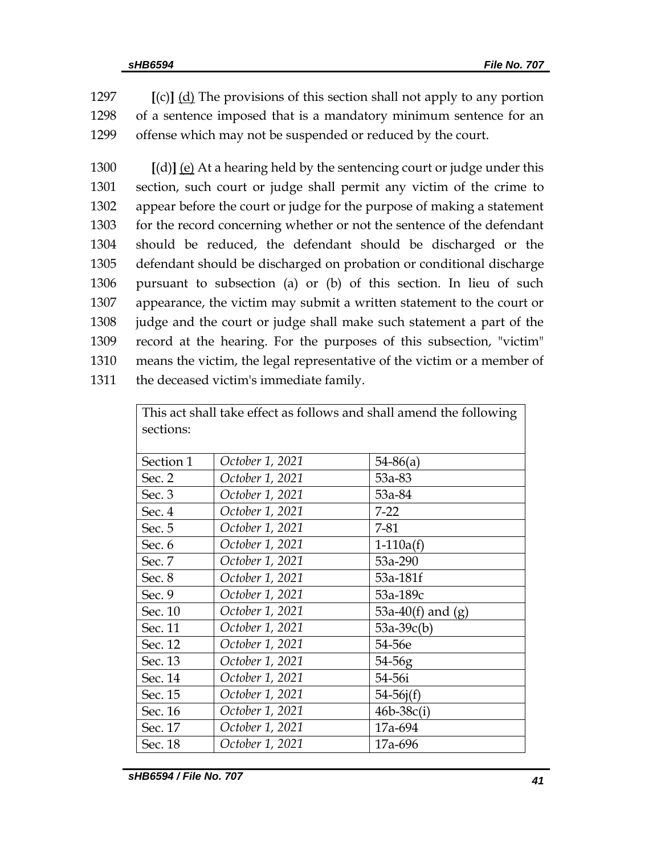1297 **[**(c)**]** (d) The provisions of this section shall not apply to any portion 1298 of a sentence imposed that is a mandatory minimum sentence for an 1299 offense which may not be suspended or reduced by the court.

 **[**(d)**]** (e) At a hearing held by the sentencing court or judge under this section, such court or judge shall permit any victim of the crime to appear before the court or judge for the purpose of making a statement for the record concerning whether or not the sentence of the defendant should be reduced, the defendant should be discharged or the defendant should be discharged on probation or conditional discharge pursuant to subsection (a) or (b) of this section. In lieu of such appearance, the victim may submit a written statement to the court or judge and the court or judge shall make such statement a part of the record at the hearing. For the purposes of this subsection, "victim" means the victim, the legal representative of the victim or a member of the deceased victim's immediate family.

| This act shall take effect as follows and shall amend the following |                 |                     |  |  |
|---------------------------------------------------------------------|-----------------|---------------------|--|--|
| sections:                                                           |                 |                     |  |  |
| Section 1                                                           | October 1, 2021 | $54-86(a)$          |  |  |
| Sec. 2                                                              | October 1, 2021 | 53a-83              |  |  |
| Sec. 3                                                              | October 1, 2021 | 53a-84              |  |  |
| Sec. 4                                                              | October 1, 2021 | $7-22$              |  |  |
| Sec. 5                                                              | October 1, 2021 | $7 - 81$            |  |  |
| Sec. 6                                                              | October 1, 2021 | $1-110a(f)$         |  |  |
| Sec. 7                                                              | October 1, 2021 | 53a-290             |  |  |
| Sec. 8                                                              | October 1, 2021 | 53a-181f            |  |  |
| Sec. 9                                                              | October 1, 2021 | 53a-189c            |  |  |
| Sec. 10                                                             | October 1, 2021 | 53a-40(f) and $(g)$ |  |  |
| Sec. 11                                                             | October 1, 2021 | $53a-39c(b)$        |  |  |
| Sec. 12                                                             | October 1, 2021 | 54-56e              |  |  |
| Sec. 13                                                             | October 1, 2021 | 54-56g              |  |  |
| Sec. 14                                                             | October 1, 2021 | 54-56i              |  |  |
| Sec. 15                                                             | October 1, 2021 | $54 - 56j(f)$       |  |  |
| Sec. 16                                                             | October 1, 2021 | $46b-38c(i)$        |  |  |
| Sec. 17                                                             | October 1, 2021 | 17a-694             |  |  |
| Sec. 18                                                             | October 1, 2021 | 17a-696             |  |  |

*sHB6594 / File No. 707 41*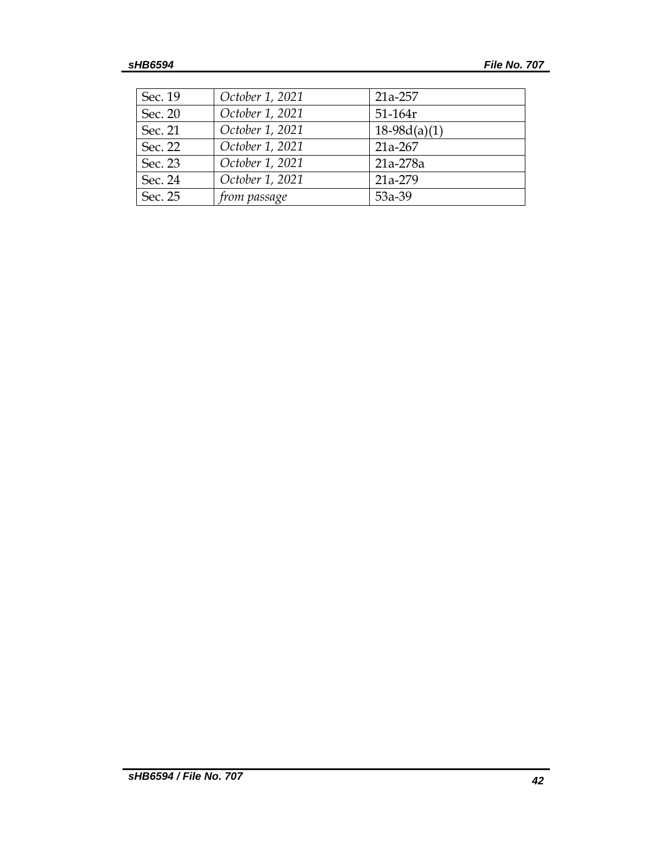| Sec. 19 | October 1, 2021 | 21a-257        |
|---------|-----------------|----------------|
| Sec. 20 | October 1, 2021 | $51 - 164r$    |
| Sec. 21 | October 1, 2021 | $18-98d(a)(1)$ |
| Sec. 22 | October 1, 2021 | 21a-267        |
| Sec. 23 | October 1, 2021 | 21a-278a       |
| Sec. 24 | October 1, 2021 | 21a-279        |
| Sec. 25 | from passage    | 53a-39         |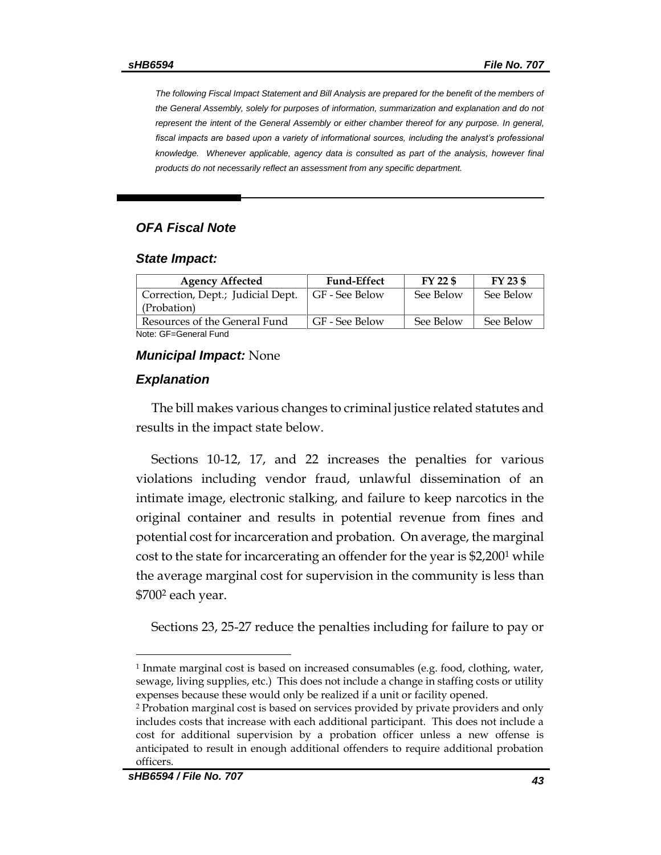*The following Fiscal Impact Statement and Bill Analysis are prepared for the benefit of the members of the General Assembly, solely for purposes of information, summarization and explanation and do not represent the intent of the General Assembly or either chamber thereof for any purpose. In general, fiscal impacts are based upon a variety of informational sources, including the analyst's professional knowledge. Whenever applicable, agency data is consulted as part of the analysis, however final products do not necessarily reflect an assessment from any specific department.*

## *OFA Fiscal Note*

#### *State Impact:*

| <b>Agency Affected</b>            | <b>Fund-Effect</b> | $FY$ 22 \$ | FY 23 \$  |
|-----------------------------------|--------------------|------------|-----------|
| Correction, Dept.; Judicial Dept. | GF - See Below     | See Below  | See Below |
| (Probation)                       |                    |            |           |
| Resources of the General Fund     | GF - See Below     | See Below  | See Below |
| Note: GF=General Fund             |                    |            |           |

## *Municipal Impact:* None

## *Explanation*

The bill makes various changes to criminal justice related statutes and results in the impact state below.

Sections 10-12, 17, and 22 increases the penalties for various violations including vendor fraud, unlawful dissemination of an intimate image, electronic stalking, and failure to keep narcotics in the original container and results in potential revenue from fines and potential cost for incarceration and probation. On average, the marginal cost to the state for incarcerating an offender for the year is \$2,200<sup>1</sup> while the average marginal cost for supervision in the community is less than \$700<sup>2</sup> each year.

Sections 23, 25-27 reduce the penalties including for failure to pay or

 $\overline{a}$ 

<sup>1</sup> Inmate marginal cost is based on increased consumables (e.g. food, clothing, water, sewage, living supplies, etc.) This does not include a change in staffing costs or utility expenses because these would only be realized if a unit or facility opened.

<sup>2</sup> Probation marginal cost is based on services provided by private providers and only includes costs that increase with each additional participant. This does not include a cost for additional supervision by a probation officer unless a new offense is anticipated to result in enough additional offenders to require additional probation officers.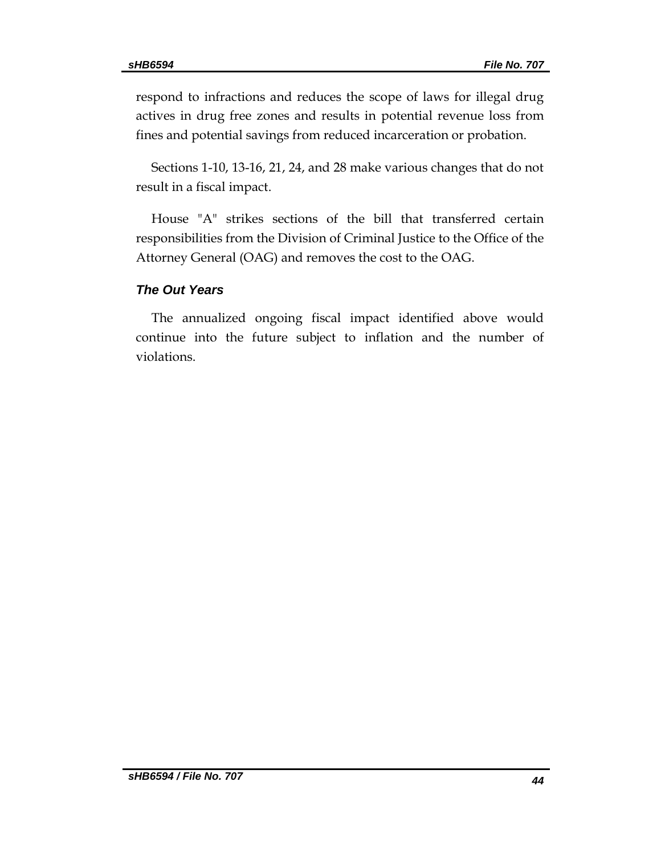respond to infractions and reduces the scope of laws for illegal drug actives in drug free zones and results in potential revenue loss from fines and potential savings from reduced incarceration or probation.

Sections 1-10, 13-16, 21, 24, and 28 make various changes that do not result in a fiscal impact.

House "A" strikes sections of the bill that transferred certain responsibilities from the Division of Criminal Justice to the Office of the Attorney General (OAG) and removes the cost to the OAG.

# *The Out Years*

The annualized ongoing fiscal impact identified above would continue into the future subject to inflation and the number of violations.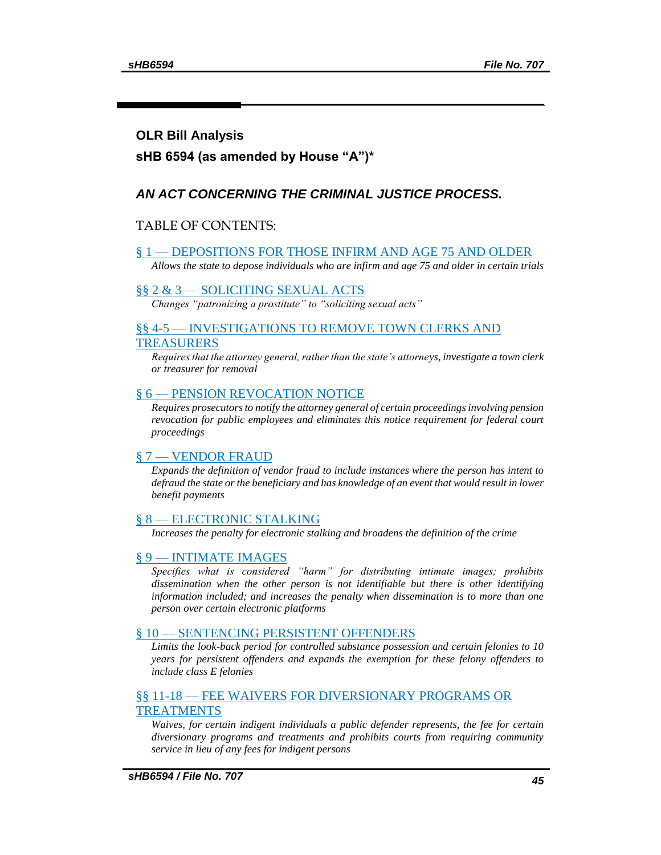# **OLR Bill Analysis**

# **sHB 6594 (as amended by House "A")\***

# *AN ACT CONCERNING THE CRIMINAL JUSTICE PROCESS.*

# TABLE OF CONTENTS:

#### § 1 — [DEPOSITIONS FOR THOSE INFIRM AND AGE 75 AND OLDER](#page-45-0)

*[Allows the state to depose individuals who are infirm and age 75 and older in certain trials](#page-45-1)*

### §§ 2 & 3 — [SOLICITING SEXUAL ACTS](#page-45-2)

*[Changes "patronizing a prostitute" to "soliciting sexual acts"](#page-45-2)*

## §§ 4-5 — [INVESTIGATIONS TO REMOVE TOWN CLERKS AND](#page-46-0)  [TREASURERS](#page-46-0)

*[Requires that the attorney general, rather than the state's attorneys, investigate a town clerk](#page-46-1)  [or treasurer for removal](#page-46-1)*

### § 6 — [PENSION REVOCATION NOTICE](#page-46-2)

*[Requires prosecutors to notify the attorney general of certain proceedings involving pension](#page-46-3)  [revocation for public employees and eliminates this notice requirement for federal court](#page-46-3)  [proceedings](#page-46-3)*

### § 7 — [VENDOR FRAUD](#page-46-4)

*[Expands the definition of vendor fraud to include instances where the person has intent to](#page-46-5)  [defraud the state or the beneficiary and has knowledge of an event that would result in lower](#page-46-5)  [benefit payments](#page-46-5)*

### § 8 — [ELECTRONIC STALKING](#page-47-0)

*[Increases the penalty for electronic stalking and broadens the definition of the crime](#page-47-1)*

### § 9 — [INTIMATE IMAGES](#page-48-0)

*[Specifies what is considered "harm" for distributing intimate images; prohibits](#page-48-1)  [dissemination when the other person is not identifiable but there is other identifying](#page-48-1)  information included; and increases the penalty when dissemination is to more than one [person over certain electronic platforms](#page-48-1)*

### § 10 — [SENTENCING PERSISTENT OFFENDERS](#page-49-0)

*[Limits the look-back period for controlled substance possession and certain felonies to 10](#page-49-1)  [years for persistent offenders and expands the exemption for these felony offenders to](#page-49-1)  [include class E felonies](#page-49-1)*

# §§ 11-18 — [FEE WAIVERS FOR DIVERSIONARY PROGRAMS OR](#page-50-0)  [TREATMENTS](#page-50-0)

*[Waives, for certain indigent individuals a public defender represents, the fee for certain](#page-50-1)  [diversionary programs and treatments and prohibits courts from requiring community](#page-50-1)  [service in lieu of any fees for indigent persons](#page-50-1)*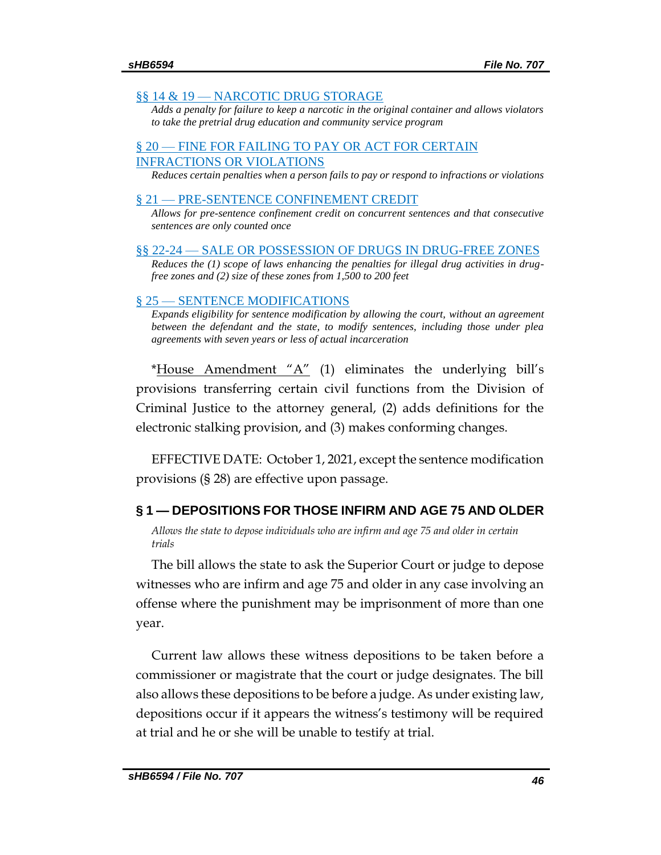### <span id="page-45-2"></span>§§ 14 & 19 — [NARCOTIC DRUG STORAGE](#page-51-0)

*[Adds a penalty for failure to keep a narcotic in the original container and allows violators](#page-51-1)  [to take the pretrial drug education and community service program](#page-51-1)*

## § 20 — [FINE FOR FAILING TO PAY OR ACT FOR CERTAIN](#page-52-0)  [INFRACTIONS OR VIOLATIONS](#page-52-0)

*[Reduces certain penalties when a person fails to pay or respond to infractions or violations](#page-52-1)*

### § 21 — [PRE-SENTENCE CONFINEMENT CREDIT](#page-53-0)

*[Allows for pre-sentence confinement credit on concurrent sentences and that consecutive](#page-53-1)  [sentences are only counted once](#page-53-1)*

§§ 22-24 — [SALE OR POSSESSION OF DRUGS IN DRUG-FREE ZONES](#page-53-2)

*[Reduces the \(1\) scope of laws enhancing the penalties for illegal drug activities in drug](#page-53-3)[free zones and \(2\) size of these zones from 1,500 to 200 feet](#page-53-3)*

### § 25 — [SENTENCE MODIFICATIONS](#page-55-0)

*[Expands eligibility for sentence modification by allowing the court, without an agreement](#page-55-1)  between the defendant and the state, to modify sentences, including those under plea [agreements with seven years or less of actual incarceration](#page-55-1)*

\*House Amendment " $A$ " (1) eliminates the underlying bill's provisions transferring certain civil functions from the Division of Criminal Justice to the attorney general, (2) adds definitions for the electronic stalking provision, and (3) makes conforming changes.

EFFECTIVE DATE: October 1, 2021, except the sentence modification provisions (§ 28) are effective upon passage.

# <span id="page-45-0"></span>**§ 1 — DEPOSITIONS FOR THOSE INFIRM AND AGE 75 AND OLDER**

<span id="page-45-1"></span>*Allows the state to depose individuals who are infirm and age 75 and older in certain trials* 

The bill allows the state to ask the Superior Court or judge to depose witnesses who are infirm and age 75 and older in any case involving an offense where the punishment may be imprisonment of more than one year.

Current law allows these witness depositions to be taken before a commissioner or magistrate that the court or judge designates. The bill also allows these depositions to be before a judge. As under existing law, depositions occur if it appears the witness's testimony will be required at trial and he or she will be unable to testify at trial.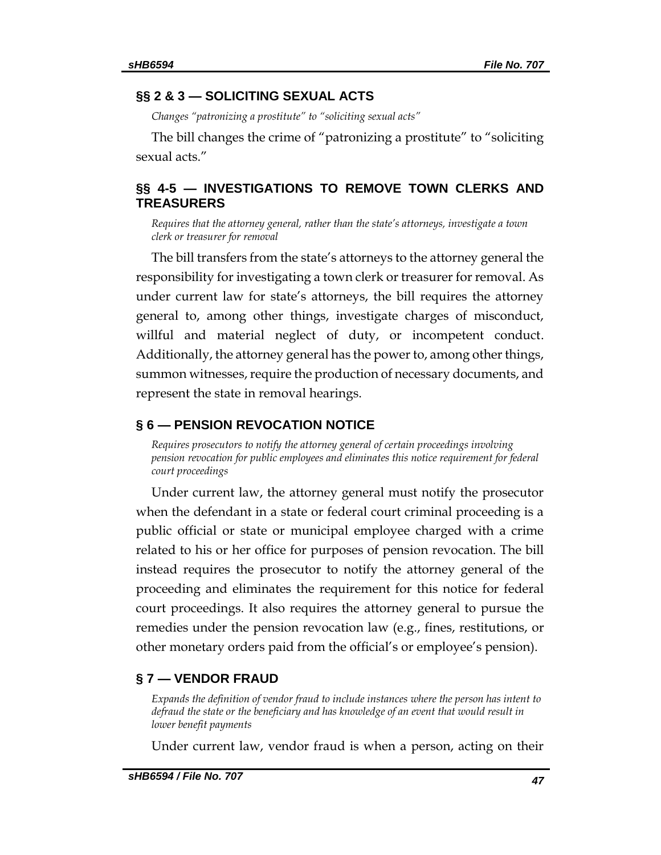# **§§ 2 & 3 — SOLICITING SEXUAL ACTS**

*Changes "patronizing a prostitute" to "soliciting sexual acts"*

The bill changes the crime of "patronizing a prostitute" to "soliciting sexual acts."

# <span id="page-46-0"></span>**§§ 4-5 — INVESTIGATIONS TO REMOVE TOWN CLERKS AND TREASURERS**

<span id="page-46-1"></span>*Requires that the attorney general, rather than the state's attorneys, investigate a town clerk or treasurer for removal*

The bill transfers from the state's attorneys to the attorney general the responsibility for investigating a town clerk or treasurer for removal. As under current law for state's attorneys, the bill requires the attorney general to, among other things, investigate charges of misconduct, willful and material neglect of duty, or incompetent conduct. Additionally, the attorney general has the power to, among other things, summon witnesses, require the production of necessary documents, and represent the state in removal hearings.

## <span id="page-46-2"></span>**§ 6 — PENSION REVOCATION NOTICE**

<span id="page-46-3"></span>*Requires prosecutors to notify the attorney general of certain proceedings involving pension revocation for public employees and eliminates this notice requirement for federal court proceedings*

Under current law, the attorney general must notify the prosecutor when the defendant in a state or federal court criminal proceeding is a public official or state or municipal employee charged with a crime related to his or her office for purposes of pension revocation. The bill instead requires the prosecutor to notify the attorney general of the proceeding and eliminates the requirement for this notice for federal court proceedings. It also requires the attorney general to pursue the remedies under the pension revocation law (e.g., fines, restitutions, or other monetary orders paid from the official's or employee's pension).

# <span id="page-46-4"></span>**§ 7 — VENDOR FRAUD**

<span id="page-46-5"></span>*Expands the definition of vendor fraud to include instances where the person has intent to defraud the state or the beneficiary and has knowledge of an event that would result in lower benefit payments* 

Under current law, vendor fraud is when a person, acting on their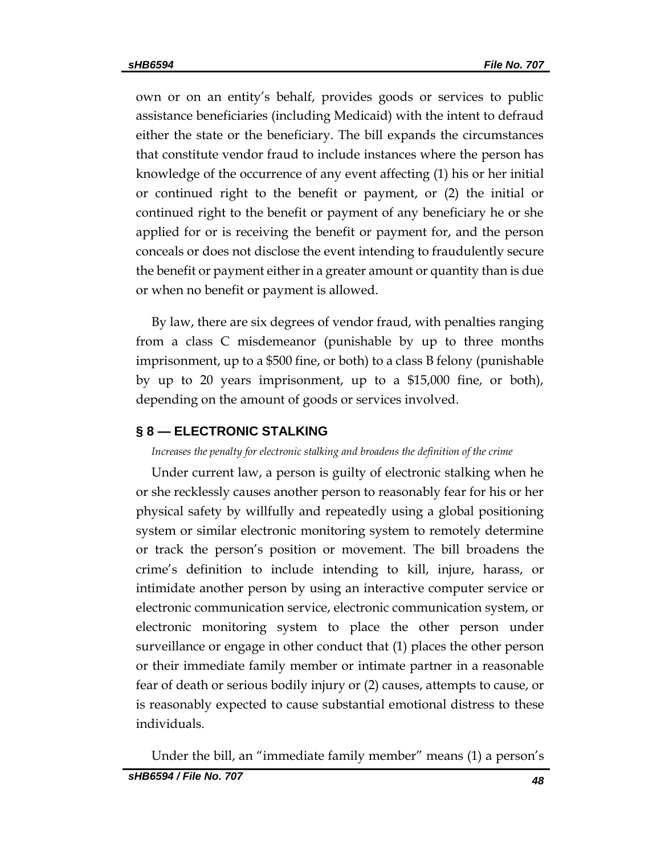own or on an entity's behalf, provides goods or services to public assistance beneficiaries (including Medicaid) with the intent to defraud either the state or the beneficiary. The bill expands the circumstances that constitute vendor fraud to include instances where the person has knowledge of the occurrence of any event affecting (1) his or her initial or continued right to the benefit or payment, or (2) the initial or continued right to the benefit or payment of any beneficiary he or she applied for or is receiving the benefit or payment for, and the person conceals or does not disclose the event intending to fraudulently secure the benefit or payment either in a greater amount or quantity than is due or when no benefit or payment is allowed.

By law, there are six degrees of vendor fraud, with penalties ranging from a class C misdemeanor (punishable by up to three months imprisonment, up to a \$500 fine, or both) to a class B felony (punishable by up to 20 years imprisonment, up to a \$15,000 fine, or both), depending on the amount of goods or services involved.

# <span id="page-47-0"></span>**§ 8 — ELECTRONIC STALKING**

# <span id="page-47-1"></span>*Increases the penalty for electronic stalking and broadens the definition of the crime*

Under current law, a person is guilty of electronic stalking when he or she recklessly causes another person to reasonably fear for his or her physical safety by willfully and repeatedly using a global positioning system or similar electronic monitoring system to remotely determine or track the person's position or movement. The bill broadens the crime's definition to include intending to kill, injure, harass, or intimidate another person by using an interactive computer service or electronic communication service, electronic communication system, or electronic monitoring system to place the other person under surveillance or engage in other conduct that (1) places the other person or their immediate family member or intimate partner in a reasonable fear of death or serious bodily injury or (2) causes, attempts to cause, or is reasonably expected to cause substantial emotional distress to these individuals.

Under the bill, an "immediate family member" means (1) a person's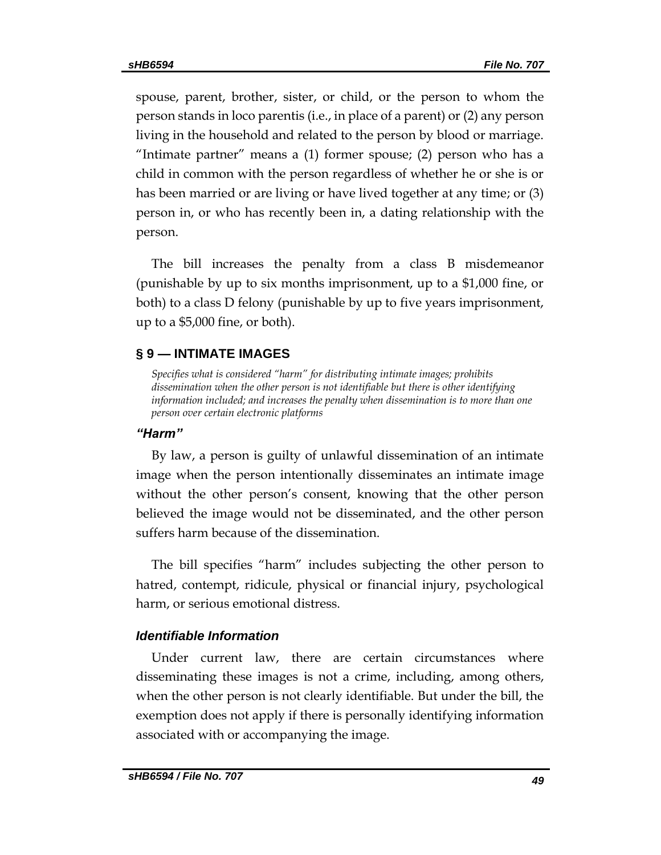spouse, parent, brother, sister, or child, or the person to whom the person stands in loco parentis (i.e., in place of a parent) or (2) any person living in the household and related to the person by blood or marriage. "Intimate partner" means a (1) former spouse; (2) person who has a child in common with the person regardless of whether he or she is or has been married or are living or have lived together at any time; or (3) person in, or who has recently been in, a dating relationship with the person.

The bill increases the penalty from a class B misdemeanor (punishable by up to six months imprisonment, up to a \$1,000 fine, or both) to a class D felony (punishable by up to five years imprisonment, up to a \$5,000 fine, or both).

# <span id="page-48-0"></span>**§ 9 — INTIMATE IMAGES**

<span id="page-48-1"></span>*Specifies what is considered "harm" for distributing intimate images; prohibits dissemination when the other person is not identifiable but there is other identifying information included; and increases the penalty when dissemination is to more than one person over certain electronic platforms*

# *"Harm"*

By law, a person is guilty of unlawful dissemination of an intimate image when the person intentionally disseminates an intimate image without the other person's consent, knowing that the other person believed the image would not be disseminated, and the other person suffers harm because of the dissemination.

The bill specifies "harm" includes subjecting the other person to hatred, contempt, ridicule, physical or financial injury, psychological harm, or serious emotional distress.

# *Identifiable Information*

Under current law, there are certain circumstances where disseminating these images is not a crime, including, among others, when the other person is not clearly identifiable. But under the bill, the exemption does not apply if there is personally identifying information associated with or accompanying the image.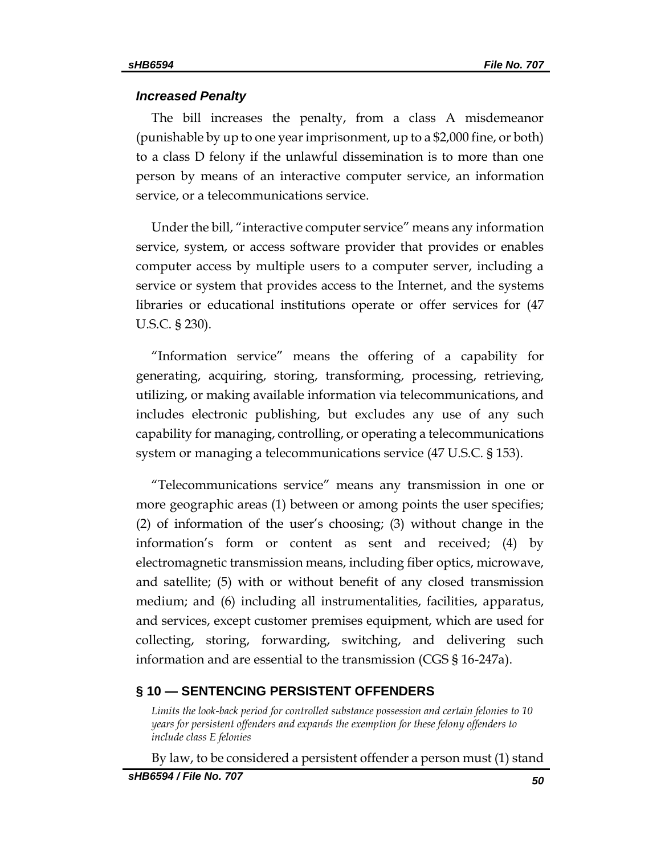#### *Increased Penalty*

The bill increases the penalty, from a class A misdemeanor (punishable by up to one year imprisonment, up to a \$2,000 fine, or both) to a class D felony if the unlawful dissemination is to more than one person by means of an interactive computer service, an information service, or a telecommunications service.

Under the bill, "interactive computer service" means any information service, system, or access software provider that provides or enables computer access by multiple users to a computer server, including a service or system that provides access to the Internet, and the systems libraries or educational institutions operate or offer services for (47 U.S.C. § 230).

"Information service" means the offering of a capability for generating, acquiring, storing, transforming, processing, retrieving, utilizing, or making available information via telecommunications, and includes electronic publishing, but excludes any use of any such capability for managing, controlling, or operating a telecommunications system or managing a telecommunications service (47 U.S.C. § 153).

"Telecommunications service" means any transmission in one or more geographic areas (1) between or among points the user specifies; (2) of information of the user's choosing; (3) without change in the information's form or content as sent and received; (4) by electromagnetic transmission means, including fiber optics, microwave, and satellite; (5) with or without benefit of any closed transmission medium; and (6) including all instrumentalities, facilities, apparatus, and services, except customer premises equipment, which are used for collecting, storing, forwarding, switching, and delivering such information and are essential to the transmission (CGS § 16-247a).

### <span id="page-49-0"></span>**§ 10 — SENTENCING PERSISTENT OFFENDERS**

<span id="page-49-1"></span>*Limits the look-back period for controlled substance possession and certain felonies to 10 years for persistent offenders and expands the exemption for these felony offenders to include class E felonies*

By law, to be considered a persistent offender a person must (1) stand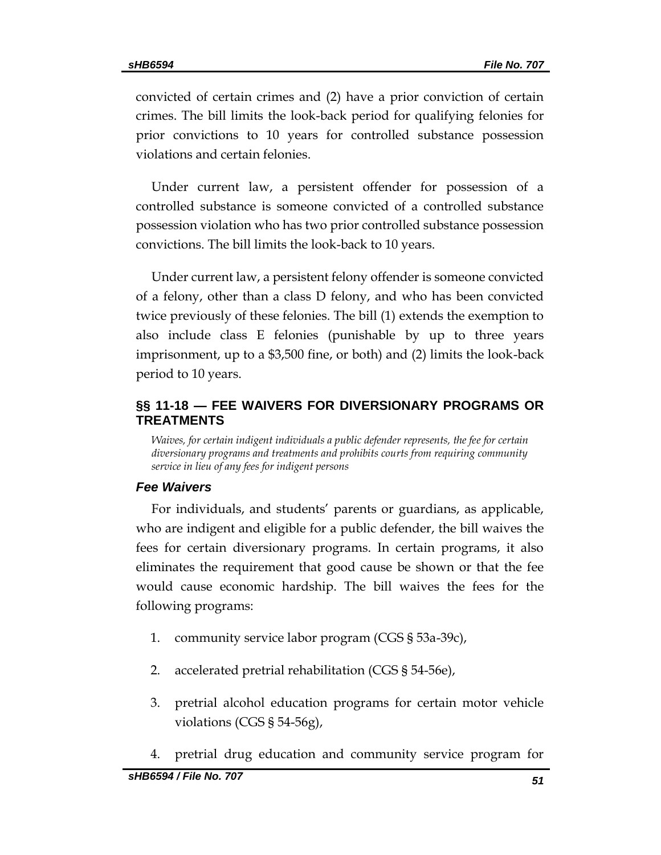convicted of certain crimes and (2) have a prior conviction of certain crimes. The bill limits the look-back period for qualifying felonies for prior convictions to 10 years for controlled substance possession violations and certain felonies.

Under current law, a persistent offender for possession of a controlled substance is someone convicted of a controlled substance possession violation who has two prior controlled substance possession convictions. The bill limits the look-back to 10 years.

Under current law, a persistent felony offender is someone convicted of a felony, other than a class D felony, and who has been convicted twice previously of these felonies. The bill (1) extends the exemption to also include class E felonies (punishable by up to three years imprisonment, up to a \$3,500 fine, or both) and (2) limits the look-back period to 10 years.

# <span id="page-50-0"></span>**§§ 11-18 — FEE WAIVERS FOR DIVERSIONARY PROGRAMS OR TREATMENTS**

<span id="page-50-1"></span>*Waives, for certain indigent individuals a public defender represents, the fee for certain diversionary programs and treatments and prohibits courts from requiring community service in lieu of any fees for indigent persons*

# *Fee Waivers*

For individuals, and students' parents or guardians, as applicable, who are indigent and eligible for a public defender, the bill waives the fees for certain diversionary programs. In certain programs, it also eliminates the requirement that good cause be shown or that the fee would cause economic hardship. The bill waives the fees for the following programs:

- 1. community service labor program (CGS § 53a-39c),
- 2. accelerated pretrial rehabilitation (CGS § 54-56e),
- 3. pretrial alcohol education programs for certain motor vehicle violations (CGS § 54-56g),
- 4. pretrial drug education and community service program for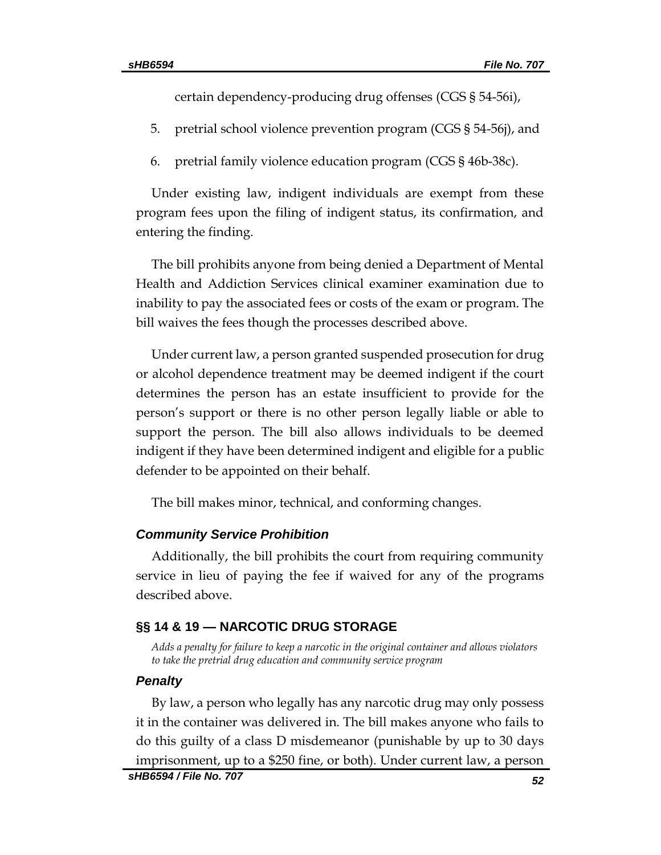certain dependency-producing drug offenses (CGS § 54-56i),

- 5. pretrial school violence prevention program (CGS § 54-56j), and
- 6. pretrial family violence education program (CGS § 46b-38c).

Under existing law, indigent individuals are exempt from these program fees upon the filing of indigent status, its confirmation, and entering the finding.

The bill prohibits anyone from being denied a Department of Mental Health and Addiction Services clinical examiner examination due to inability to pay the associated fees or costs of the exam or program. The bill waives the fees though the processes described above.

Under current law, a person granted suspended prosecution for drug or alcohol dependence treatment may be deemed indigent if the court determines the person has an estate insufficient to provide for the person's support or there is no other person legally liable or able to support the person. The bill also allows individuals to be deemed indigent if they have been determined indigent and eligible for a public defender to be appointed on their behalf.

The bill makes minor, technical, and conforming changes.

# *Community Service Prohibition*

Additionally, the bill prohibits the court from requiring community service in lieu of paying the fee if waived for any of the programs described above.

# <span id="page-51-0"></span>**§§ 14 & 19 — NARCOTIC DRUG STORAGE**

<span id="page-51-1"></span>*Adds a penalty for failure to keep a narcotic in the original container and allows violators to take the pretrial drug education and community service program*

### *Penalty*

By law, a person who legally has any narcotic drug may only possess it in the container was delivered in. The bill makes anyone who fails to do this guilty of a class D misdemeanor (punishable by up to 30 days imprisonment, up to a \$250 fine, or both). Under current law, a person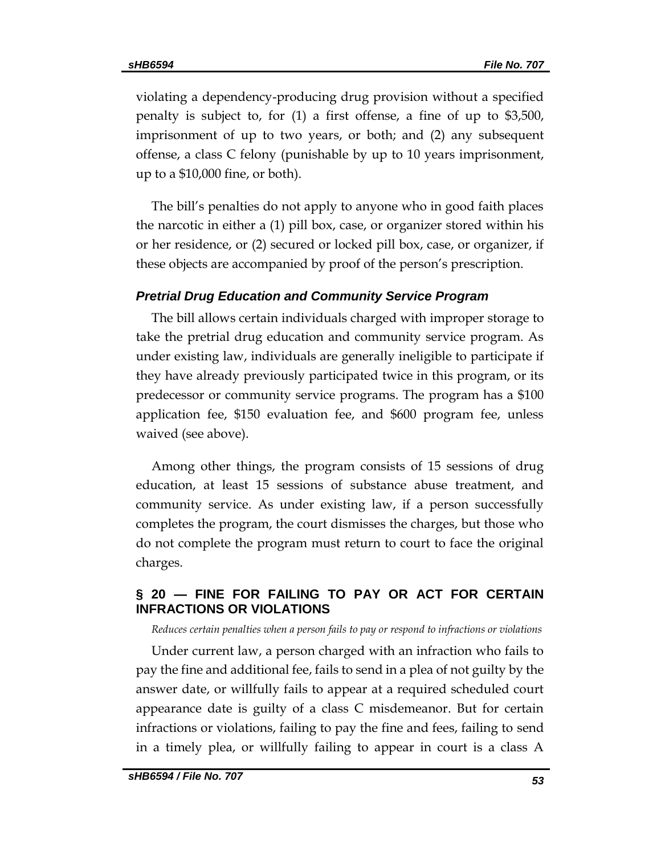violating a dependency-producing drug provision without a specified penalty is subject to, for (1) a first offense, a fine of up to \$3,500, imprisonment of up to two years, or both; and (2) any subsequent offense, a class C felony (punishable by up to 10 years imprisonment, up to a \$10,000 fine, or both).

The bill's penalties do not apply to anyone who in good faith places the narcotic in either a (1) pill box, case, or organizer stored within his or her residence, or (2) secured or locked pill box, case, or organizer, if these objects are accompanied by proof of the person's prescription.

### *Pretrial Drug Education and Community Service Program*

The bill allows certain individuals charged with improper storage to take the pretrial drug education and community service program. As under existing law, individuals are generally ineligible to participate if they have already previously participated twice in this program, or its predecessor or community service programs. The program has a \$100 application fee, \$150 evaluation fee, and \$600 program fee, unless waived (see above).

Among other things, the program consists of 15 sessions of drug education, at least 15 sessions of substance abuse treatment, and community service. As under existing law, if a person successfully completes the program, the court dismisses the charges, but those who do not complete the program must return to court to face the original charges.

# <span id="page-52-0"></span>**§ 20 — FINE FOR FAILING TO PAY OR ACT FOR CERTAIN INFRACTIONS OR VIOLATIONS**

<span id="page-52-1"></span>*Reduces certain penalties when a person fails to pay or respond to infractions or violations* 

Under current law, a person charged with an infraction who fails to pay the fine and additional fee, fails to send in a plea of not guilty by the answer date, or willfully fails to appear at a required scheduled court appearance date is guilty of a class C misdemeanor. But for certain infractions or violations, failing to pay the fine and fees, failing to send in a timely plea, or willfully failing to appear in court is a class A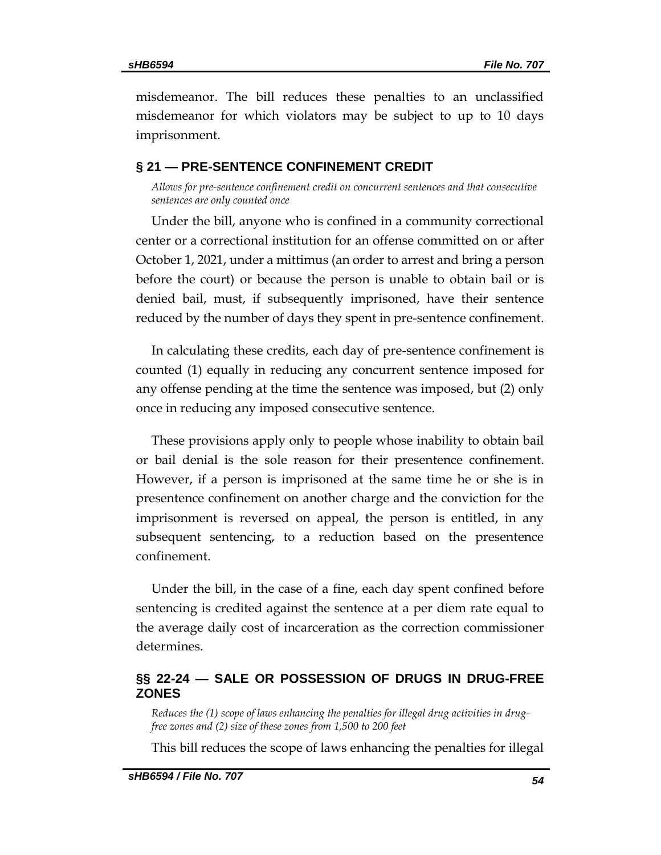misdemeanor. The bill reduces these penalties to an unclassified misdemeanor for which violators may be subject to up to 10 days imprisonment.

## <span id="page-53-0"></span>**§ 21 — PRE-SENTENCE CONFINEMENT CREDIT**

<span id="page-53-1"></span>*Allows for pre-sentence confinement credit on concurrent sentences and that consecutive sentences are only counted once* 

Under the bill, anyone who is confined in a community correctional center or a correctional institution for an offense committed on or after October 1, 2021, under a mittimus (an order to arrest and bring a person before the court) or because the person is unable to obtain bail or is denied bail, must, if subsequently imprisoned, have their sentence reduced by the number of days they spent in pre-sentence confinement.

In calculating these credits, each day of pre-sentence confinement is counted (1) equally in reducing any concurrent sentence imposed for any offense pending at the time the sentence was imposed, but (2) only once in reducing any imposed consecutive sentence.

These provisions apply only to people whose inability to obtain bail or bail denial is the sole reason for their presentence confinement. However, if a person is imprisoned at the same time he or she is in presentence confinement on another charge and the conviction for the imprisonment is reversed on appeal, the person is entitled, in any subsequent sentencing, to a reduction based on the presentence confinement.

Under the bill, in the case of a fine, each day spent confined before sentencing is credited against the sentence at a per diem rate equal to the average daily cost of incarceration as the correction commissioner determines.

# <span id="page-53-2"></span>**§§ 22-24 — SALE OR POSSESSION OF DRUGS IN DRUG-FREE ZONES**

<span id="page-53-3"></span>*Reduces the (1) scope of laws enhancing the penalties for illegal drug activities in drugfree zones and (2) size of these zones from 1,500 to 200 feet*

This bill reduces the scope of laws enhancing the penalties for illegal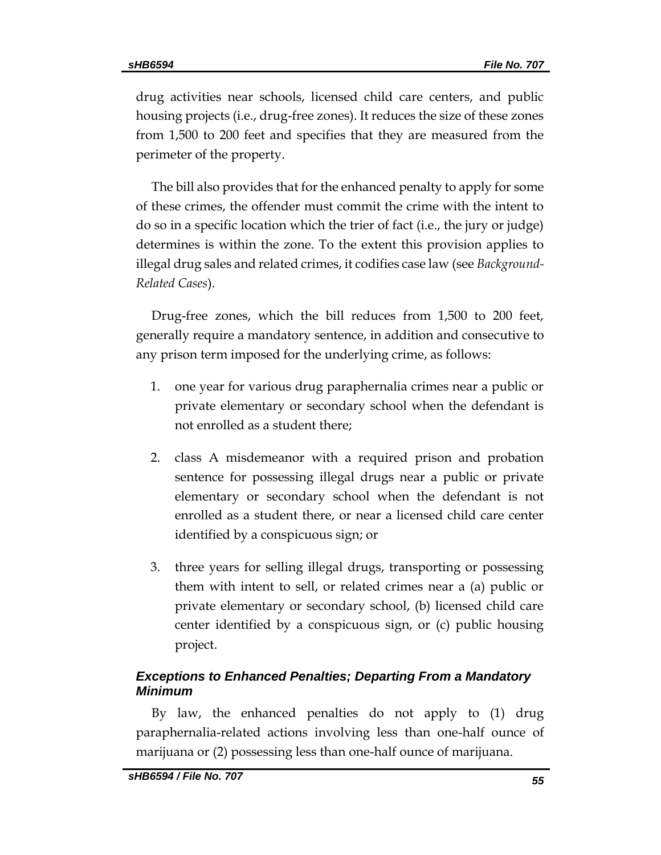drug activities near schools, licensed child care centers, and public housing projects (i.e., drug-free zones). It reduces the size of these zones from 1,500 to 200 feet and specifies that they are measured from the perimeter of the property.

The bill also provides that for the enhanced penalty to apply for some of these crimes, the offender must commit the crime with the intent to do so in a specific location which the trier of fact (i.e., the jury or judge) determines is within the zone. To the extent this provision applies to illegal drug sales and related crimes, it codifies case law (see *Background-Related Cases*).

Drug-free zones, which the bill reduces from 1,500 to 200 feet, generally require a mandatory sentence, in addition and consecutive to any prison term imposed for the underlying crime, as follows:

- 1. one year for various drug paraphernalia crimes near a public or private elementary or secondary school when the defendant is not enrolled as a student there;
- 2. class A misdemeanor with a required prison and probation sentence for possessing illegal drugs near a public or private elementary or secondary school when the defendant is not enrolled as a student there, or near a licensed child care center identified by a conspicuous sign; or
- 3. three years for selling illegal drugs, transporting or possessing them with intent to sell, or related crimes near a (a) public or private elementary or secondary school, (b) licensed child care center identified by a conspicuous sign, or (c) public housing project.

# *Exceptions to Enhanced Penalties; Departing From a Mandatory Minimum*

By law, the enhanced penalties do not apply to (1) drug paraphernalia-related actions involving less than one-half ounce of marijuana or (2) possessing less than one-half ounce of marijuana.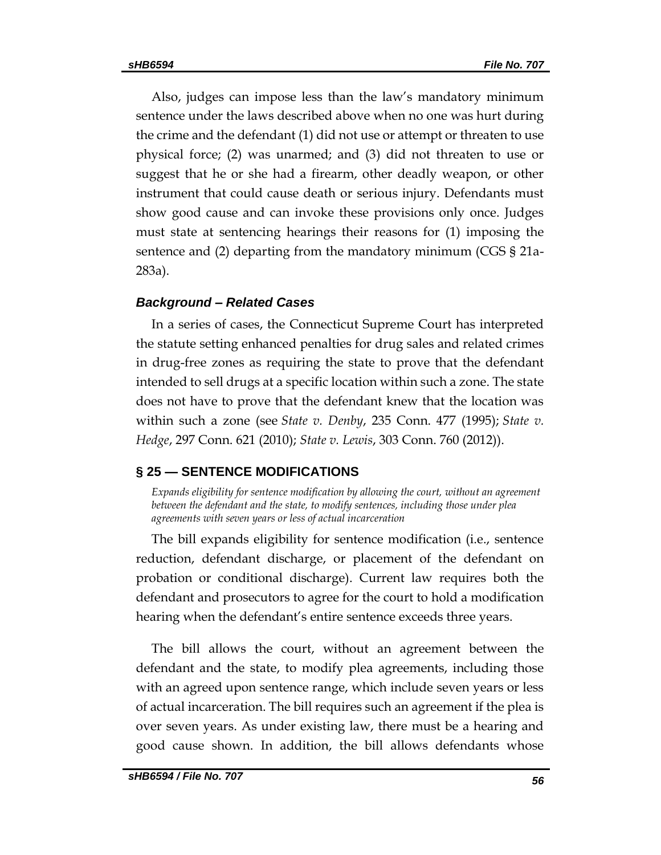Also, judges can impose less than the law's mandatory minimum sentence under the laws described above when no one was hurt during the crime and the defendant (1) did not use or attempt or threaten to use physical force; (2) was unarmed; and (3) did not threaten to use or suggest that he or she had a firearm, other deadly weapon, or other instrument that could cause death or serious injury. Defendants must show good cause and can invoke these provisions only once. Judges must state at sentencing hearings their reasons for (1) imposing the sentence and (2) departing from the mandatory minimum (CGS § 21a-283a).

### *Background – Related Cases*

In a series of cases, the Connecticut Supreme Court has interpreted the statute setting enhanced penalties for drug sales and related crimes in drug-free zones as requiring the state to prove that the defendant intended to sell drugs at a specific location within such a zone. The state does not have to prove that the defendant knew that the location was within such a zone (see *State v. Denby*, 235 Conn. 477 (1995); *State v. Hedge*, 297 Conn. 621 (2010); *State v. Lewis*, 303 Conn. 760 (2012)).

### <span id="page-55-0"></span>**§ 25 — SENTENCE MODIFICATIONS**

<span id="page-55-1"></span>*Expands eligibility for sentence modification by allowing the court, without an agreement*  between the defendant and the state, to modify sentences, including those under plea *agreements with seven years or less of actual incarceration*

The bill expands eligibility for sentence modification (i.e., sentence reduction, defendant discharge, or placement of the defendant on probation or conditional discharge). Current law requires both the defendant and prosecutors to agree for the court to hold a modification hearing when the defendant's entire sentence exceeds three years.

The bill allows the court, without an agreement between the defendant and the state, to modify plea agreements, including those with an agreed upon sentence range, which include seven years or less of actual incarceration. The bill requires such an agreement if the plea is over seven years. As under existing law, there must be a hearing and good cause shown. In addition, the bill allows defendants whose